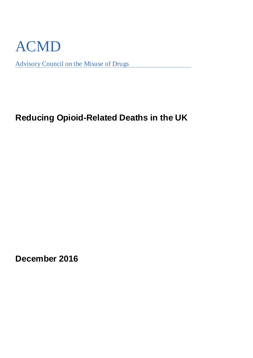

Advisory Council on the Misuse of Drugs

# **Reducing Opioid-Related Deaths in the UK**

**December 2016**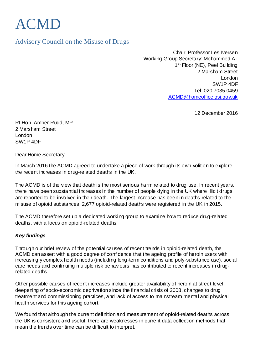# ACMD

Advisory Council on the Misuse of Drugs

Chair: Professor Les Iversen Working Group Secretary: Mohammed Ali 1<sup>st</sup> Floor (NE), Peel Building 2 Marsham Street London SW1P 4DF Tel: 020 7035 0459 [ACMD@homeoffice.gsi.gov.uk](mailto:ACMD@homeoffice.gsi.gov.uk)

12 December 2016

Rt Hon. Amber Rudd, MP 2 Marsham Street London SW1P 4DF

Dear Home Secretary

In March 2016 the ACMD agreed to undertake a piece of work through its own volition to explore the recent increases in drug-related deaths in the UK.

The ACMD is of the view that death is the most serious harm related to drug use. In recent years, there have been substantial increases in the number of people dying in the UK where illicit drugs are reported to be involved in their death. The largest increase has been in deaths related to the misuse of opioid substances; 2,677 opioid-related deaths were registered in the UK in 2015.

The ACMD therefore set up a dedicated working group to examine how to reduce drug-related deaths, with a focus on opioid-related deaths.

#### **Key findings**

Through our brief review of the potential causes of recent trends in opioid-related death, the ACMD can assert with a good degree of confidence that the ageing profile of heroin users with increasingly complex health needs (including long-term conditions and poly-substance use), social care needs and continuing multiple risk behaviours has contributed to recent increases in drugrelated deaths.

Other possible causes of recent increases include greater availability of heroin at street level, deepening of socio-economic deprivation since the financial crisis of 2008, changes to drug treatment and commissioning practices, and lack of access to mainstream mental and physical health services for this ageing cohort.

We found that although the current definition and measurement of opioid-related deaths across the UK is consistent and useful, there are weaknesses in current data collection methods that mean the trends over time can be difficult to interpret.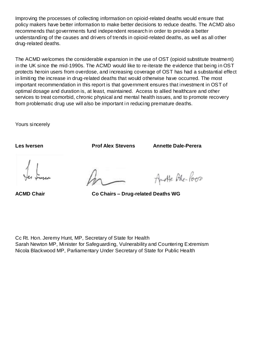Improving the processes of collecting information on opioid-related deaths would ensure that policy makers have better information to make better decisions to reduce deaths. The ACMD also recommends that governments fund independent research in order to provide a better understanding of the causes and drivers of trends in opioid-related deaths, as well as all other drug-related deaths.

The ACMD welcomes the considerable expansion in the use of OST (opioid substitute treatment) in the UK since the mid-1990s. The ACMD would like to re-iterate the evidence that being in OST protects heroin users from overdose, and increasing coverage of OST has had a substantial effect in limiting the increase in drug-related deaths that would otherwise have occurred. The most important recommendation in this report is that government ensures that investment in OST of optimal dosage and duration is, at least, maintained. Access to allied healthcare and other services to treat comorbid, chronic physical and mental health issues, and to promote recovery from problematic drug use will also be important in reducing premature deaths.

Yours sincerely

**Les Iversen Prof Alex Stevens Annette Dale-Perera**

Another Ade-Poor

**ACMD Chair Co Chairs – Drug-related Deaths WG** 

Cc Rt. Hon. Jeremy Hunt, MP, Secretary of State for Health Sarah Newton MP, Minister for Safeguarding, Vulnerability and Countering Extremism Nicola Blackwood MP, Parliamentary Under Secretary of State for Public Health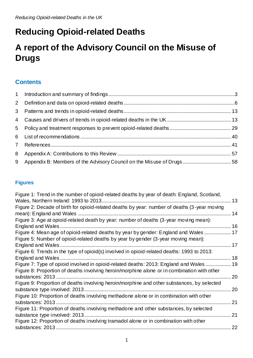# **Reducing Opioid-related Deaths**

# **A report of the Advisory Council on the Misuse of Drugs**

# **Contents**

# **Figures**

| Figure 1: Trend in the number of opioid-related deaths by year of death: England, Scotland,  | 13 |
|----------------------------------------------------------------------------------------------|----|
| Figure 2: Decade of birth for opioid-related deaths by year: number of deaths (3-year moving |    |
|                                                                                              | 14 |
| Figure 3: Age at opioid-related death by year: number of deaths (3-year moving mean):        |    |
| England and Wales.                                                                           | 16 |
| Figure 4: Mean age of opioid-related deaths by year by gender: England and Wales             | 17 |
| Figure 5: Number of opioid-related deaths by year by gender (3-year moving mean):            |    |
|                                                                                              | 17 |
| Figure 6: Trends in the type of opioid(s) involved in opioid-related deaths: 1993 to 2013:   |    |
| England and Wales                                                                            | 18 |
| Figure 7: Type of opioid involved in opioid-related deaths: 2013: England and Wales          | 19 |
| Figure 8: Proportion of deaths involving heroin/morphine alone or in combination with other  |    |
|                                                                                              | 20 |
| Figure 9: Proportion of deaths involving heroin/morphine and other substances, by selected   |    |
|                                                                                              | 20 |
| Figure 10: Proportion of deaths involving methadone alone or in combination with other       |    |
|                                                                                              | 21 |
| Figure 11: Proportion of deaths involving methadone and other substances, by selected        |    |
|                                                                                              | 21 |
| Figure 12: Proportion of deaths involving tramadol alone or in combination with other        |    |
|                                                                                              | 22 |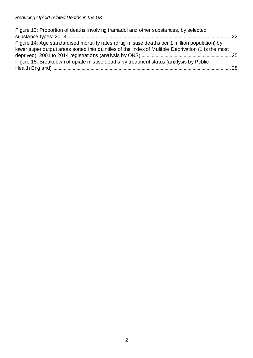| Figure 13: Proportion of deaths involving tramadol and other substances, by selected               |  |
|----------------------------------------------------------------------------------------------------|--|
|                                                                                                    |  |
| Figure 14: Age standardised mortality rates (drug misuse deaths per 1 million population) by       |  |
| lower super output areas sorted into quintiles of the Index of Multiple Deprivation (1 is the most |  |
|                                                                                                    |  |
| Figure 15: Breakdown of opiate misuse deaths by treatment status (analysis by Public               |  |
|                                                                                                    |  |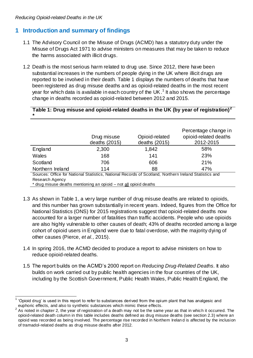## <span id="page-5-0"></span>**1 Introduction and summary of findings**

- 1.1 The Advisory Council on the Misuse of Drugs (ACMD) has a statutory duty under the Misuse of Drugs Act 1971 to advise ministers on measures that may be taken to reduce the harms associated with illicit drugs.
- 1.2 Death is the most serious harm related to drug use. Since 2012, there have been substantial increases in the numbers of people dying in the UK where illicit drugs are reported to be involved in their death. Table 1 displays the numbers of deaths that have been registered as drug misuse deaths and as opioid-related deaths in the most recent year for which data is available in each country of the UK.<sup>1</sup> It also shows the percentage change in deaths recorded as opioid-related between 2012 and 2015.

#### **Table 1: Drug misuse and opioid-related deaths in the UK (by year of registration)<sup>2</sup> \***

|                                                                                                        | Drug misuse<br>deaths (2015) | Opioid-related<br>deaths (2015) | Percentage change in<br>opioid-related deaths<br>2012-2015 |
|--------------------------------------------------------------------------------------------------------|------------------------------|---------------------------------|------------------------------------------------------------|
| England                                                                                                | 2,300                        | 1,842                           | 58%                                                        |
| Wales                                                                                                  | 168                          | 141                             | 23%                                                        |
| Scotland                                                                                               | 706                          | 606                             | 21%                                                        |
| Northern Ireland                                                                                       | 114                          | 88                              | 47%                                                        |
| Sources: Office for National Statistics, National Records of Scotland, Northern Ireland Statistics and |                              |                                 |                                                            |
| Research Agency                                                                                        |                              |                                 |                                                            |
| * drug misuse deaths mentioning an opioid - not all opioid deaths                                      |                              |                                 |                                                            |

- 1.3 As shown in Table 1, a very large number of drug misuse deaths are related to opioids, and this number has grown substantially in recent years. Indeed, figures from the Office for National Statistics (ONS) for 2015 registrations suggest that opioid-related deaths now accounted for a larger number of fatalities than traffic accidents. People who use opioids are also highly vulnerable to other causes of death; 43% of deaths recorded among a large cohort of opioid users in England were due to fatal overdose, with the majority dying of other causes (Pierce, et al., 2015).
- 1.4 In spring 2016, the ACMD decided to produce a report to advise ministers on how to reduce opioid-related deaths.
- 1.5 The report builds on the ACMD's 2000 report on Reducing Drug-Related Deaths. It also builds on work carried out by public health agencies in the four countries of the UK, including by the Scottish Government, Public Health Wales, Public Health England, the

 $\overline{\phantom{a}}$ 1 'Opioid drug' is used in this report to refer to substances derived from the opium plant that has analgesic and euphoric effects, and also to synthetic substances which mimic these effects. 2

As noted in chapter 2, the year of registration of a death may not be the same year as that in which it occurred. The opioid-related death column in this table includes deaths defined as drug misuse deaths (see section 2.3) where an opioid was recorded as being involved. The percentage rise recorded in Northern Irelan d is affected by the inclusion of tramadol-related deaths as drug misuse deaths after 2012.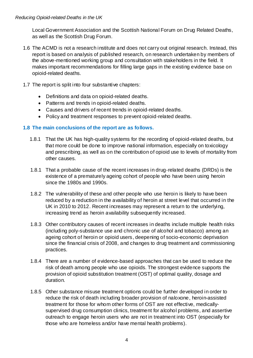Local Government Association and the Scottish National Forum on Drug Related Deaths, as well as the Scottish Drug Forum.

- 1.6 The ACMD is not a research institute and does not carry out original research. Instead, this report is based on analysis of published research, on research undertaken by members of the above-mentioned working group and consultation with stakeholders in the field. It makes important recommendations for filling large gaps in the existing evidence base on opioid-related deaths.
- 1.7 The report is split into four substantive chapters:
	- Definitions and data on opioid-related deaths.
	- Patterns and trends in opioid-related deaths.
	- Causes and drivers of recent trends in opioid-related deaths.
	- Policy and treatment responses to prevent opioid-related deaths.

#### **1.8 The main conclusions of the report are as follows.**

- 1.8.1 That the UK has high-quality systems for the recording of opioid-related deaths, but that more could be done to improve national information, especially on toxicology and prescribing, as well as on the contribution of opioid use to levels of mortality from other causes.
- 1.8.1 That a probable cause of the recent increases in drug-related deaths (DRDs) is the existence of a prematurely ageing cohort of people who have been using heroin since the 1980s and 1990s.
- 1.8.2 The vulnerability of these and other people who use heroin is likely to have been reduced by a reduction in the availability of heroin at street level that occurred in the UK in 2010 to 2012. Recent increases may represent a return to the underlying, increasing trend as heroin availability subsequently increased.
- 1.8.3 Other contributory causes of recent increases in deaths include multiple health risks (including poly-substance use and chronic use of alcohol and tobacco) among an ageing cohort of heroin or opioid users, deepening of socio-economic deprivation since the financial crisis of 2008, and changes to drug treatment and commissioning practices.
- 1.8.4 There are a number of evidence-based approaches that can be used to reduce the risk of death among people who use opioids. The strongest evidence supports the provision of opioid substitution treatment (OST) of optimal quality, dosage and duration.
- 1.8.5 Other substance misuse treatment options could be further developed in order to reduce the risk of death including broader provision of naloxone, heroin-assisted treatment for those for whom other forms of OST are not effective, medicallysupervised drug consumption clinics, treatment for alcohol problems, and assertive outreach to engage heroin users who are not in treatment into OST (especially for those who are homeless and/or have mental health problems).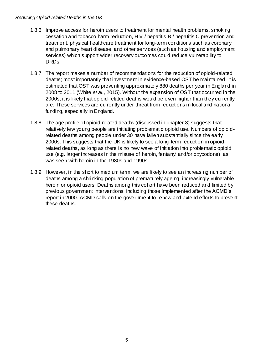- 1.8.6 Improve access for heroin users to treatment for mental health problems, smoking cessation and tobacco harm reduction, HIV / hepatitis B / hepatitis C prevention and treatment, physical healthcare treatment for long-term conditions such as coronary and pulmonary heart disease, and other services (such as housing and employment services) which support wider recovery outcomes could reduce vulnerability to DRDs.
- 1.8.7 The report makes a number of recommendations for the reduction of opioid-related deaths; most importantly that investment in evidence-based OST be maintained. It is estimated that OST was preventing approximately 880 deaths per year in England in 2008 to 2011 (White et al., 2015). Without the expansion of OST that occurred in the 2000s, it is likely that opioid-related deaths would be even higher than they currently are. These services are currently under threat from reductions in local and national funding, especially in England.
- 1.8.8 The age profile of opioid-related deaths (discussed in chapter 3) suggests that relatively few young people are initiating problematic opioid use. Numbers of opioidrelated deaths among people under 30 have fallen substantially since the early 2000s. This suggests that the UK is likely to see a long-term reduction in opioidrelated deaths, as long as there is no new wave of initiation into problematic opioid use (e.g. larger increases in the misuse of heroin, fentanyl and/or oxycodone), as was seen with heroin in the 1980s and 1990s.
- 1.8.9 However, in the short to medium term, we are likely to see an increasing number of deaths among a shrinking population of prematurely ageing, increasingly vulnerable heroin or opioid users. Deaths among this cohort have been reduced and limited by previous government interventions, including those implemented after the ACMD's report in 2000. ACMD calls on the government to renew and extend efforts to prevent these deaths.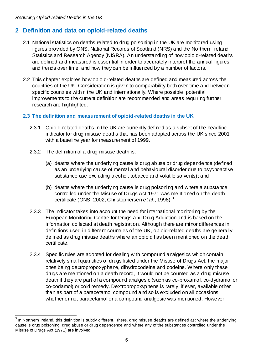# <span id="page-8-0"></span>**2 Definition and data on opioid-related deaths**

- 2.1 National statistics on deaths related to drug poisoning in the UK are monitored using figures provided by ONS, National Records of Scotland (NRS) and the Northern Ireland Statistics and Research Agency (NISRA). An understanding of how opioid-related deaths are defined and measured is essential in order to accurately interpret the annual figures and trends over time, and how they can be influenced by a number of factors.
- 2.2 This chapter explores how opioid-related deaths are defined and measured across the countries of the UK. Consideration is given to comparability both over time and between specific countries within the UK and internationally. Where possible, potential improvements to the current definition are recommended and areas requiring further research are highlighted.

#### **2.3 The definition and measurement of opioid-related deaths in the UK**

- 2.3.1 Opioid-related deaths in the UK are currently defined as a subset of the headline indicator for drug misuse deaths that has been adopted across the UK since 2001 with a baseline year for measurement of 1999.
- 2.3.2 The definition of a drug misuse death is:
	- (a) deaths where the underlying cause is drug abuse or drug dependence (defined as an underlying cause of mental and behavioural disorder due to psychoactive substance use excluding alcohol, tobacco and volatile solvents); and
	- (b) deaths where the underlying cause is drug poisoning and where a substance controlled under the Misuse of Drugs Act 1971 was mentioned on the death certificate (ONS, 2002; Christophersen e*t al.*, 1998).<sup>3</sup>
- 2.3.3 The indicator takes into account the need for international monitoring by the European Monitoring Centre for Drugs and Drug Addiction and is based on the information collected at death registration. Although there are minor differences in definitions used in different countries of the UK, opioid-related deaths are generally defined as drug misuse deaths where an opioid has been mentioned on the death certificate.
- 2.3.4 Specific rules are adopted for dealing with compound analgesics which contain relatively small quantities of drugs listed under the Misuse of Drugs Act, the major ones being dextropropoxyphene, dihydrocodeine and codeine. Where only these drugs are mentioned on a death record, it would not be counted as a drug misuse death if they are part of a compound analgesic (such as co-proxamol, co-dydramol or co-codamol) or cold remedy. Dextropropoxyphene is rarely, if ever, available other than as part of a paracetamol compound and so is excluded on all occasions, whether or not paracetamol or a compound analgesic was mentioned. However,

 3 In Northern Ireland, this definition is subtly different. There, drug misuse deaths are defined as: where the underlying cause is drug poisoning, drug abuse or drug dependence and where any of the substances controlled under the Misuse of Drugs Act (1971) are involved.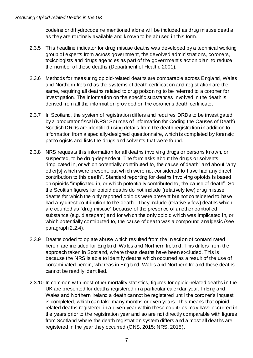codeine or dihydrocodeine mentioned alone will be included as drug misuse deaths as they are routinely available and known to be abused in this form.

- 2.3.5 This headline indicator for drug misuse deaths was developed by a technical working group of experts from across government, the devolved administrations, coroners, toxicologists and drugs agencies as part of the government's action plan, to reduce the number of these deaths [\(Department of Health, 2001\)](http://webarchive.nationalarchives.gov.uk/20130107105354/http:/www.dh.gov.uk/en/Publicationsandstatistics/Publications/PublicationsPolicyAndGuidance/DH_4015217).
- 2.3.6 Methods for measuring opioid-related deaths are comparable across England, Wales and Northern Ireland as the systems of death certification and registration are the same, requiring all deaths related to drug poisoning to be referred to a coroner for investigation. The information on the specific substances involved in the death is derived from all the information provided on the coroner's death certificate.
- 2.3.7 In Scotland, the system of registration differs and requires DRDs to be investigated by a procurator fiscal (NRS: Sources of Information for Coding the Causes of Death). Scottish DRDs are identified using details from the death registration in addition to information from a specially-designed questionnaire, which is completed by forensic pathologists and lists the drugs and solvents that were found.
- 2.3.8 NRS requests this information for all deaths involving drugs or persons known, or suspected, to be drug-dependent. The form asks about the drugs or solvents "implicated in, or which potentially contributed to, the cause of death" and about "any other[s] which were present, but which were not considered to have had any direct contribution to this death". Standard reporting for deaths involving opioids is based on opioids "implicated in, or which potentially contributed to, the cause of death". So the Scottish figures for opioid deaths do not include (relati vely few) drug misuse deaths for which the only reported opioids were present but not considered to have had any direct contribution to the death. They include (relatively few) deaths which are counted as "drug misuse" because of the presence of another controlled substance (e.g. diazepam) and for which the only opioid which was implicated in, or which potentially contributed to, the cause of death was a compound analgesic (see paragraph 2.2.4).
- 2.3.9 Deaths coded to opiate abuse which resulted from the injection of contaminated heroin are included for England, Wales and Northern Ireland. This differs from the approach taken in Scotland, where these deaths have been excluded. This is because the NRS is able to identify deaths which occurred as a result of the use of contaminated heroin, whereas in England, Wales and Northern Ireland these deaths cannot be readily identified.
- 2.3.10 In common with most other mortality statistics, figures for opioid-related deaths in the UK are presented for deaths registered in a particular calendar year. In England, Wales and Northern Ireland a death cannot be registered until the coroner's inquest is completed, which can take many months or even years. This means that opioidrelated deaths registered in a given year within these countries may have occurred in the years prior to the registration year and so are not directly comparable with figures from Scotland where the death registration system differs and almost all deaths are registered in the year they occurred (ONS, 2015; NRS, 2015).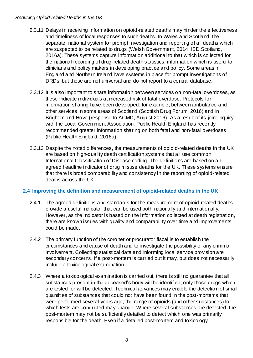- 2.3.11 Delays in receiving information on opioid-related deaths may hinder the effectiveness and timeliness of local responses to such deaths. In Wales and Scotland, the separate, national system for prompt investigation and reporting of all deaths which are suspected to be related to drugs (Welsh Government, 2014; ISD Scotland, 2016a). These systems capture information additional to that which is collected for the national recording of drug-related death statistics; information which is useful to clinicians and policy makers in developing practice and policy. Some areas in England and Northern Ireland have systems in place for prompt investigations of DRDs, but these are not universal and do not report to a central database.
- 2.3.12 It is also important to share information between services on non-fatal overdoses, as these indicate individuals at increased risk of fatal overdose. Protocols for information sharing have been developed; for example, between ambulance and other services in some areas of Scotland (Scottish Drug Forum, 2016) and in Brighton and Hove (response to ACMD, August 2016). As a result of its joint inquiry with the Local Government Association, Public Health England has recently recommended greater information sharing on both fatal and non-fatal overdoses (Public Health England, 2016a).
- 2.3.13 Despite the noted differences, the measurements of opioid-related deaths in the UK are based on high-quality death certification systems that all use common International Classification of Disease coding. The definitions are based on an agreed headline indicator of drug misuse deaths for the UK. These systems ensure that there is broad comparability and consistency in the reporting of opioid-related deaths across the UK.

#### **2.4 Improving the definition and measurement of opioid-related deaths in the UK**

- 2.4.1 The agreed definitions and standards for the measurement of opioid-related deaths provide a useful indicator that can be used both nationally and internationally. However, as the indicator is based on the information collected at death registration, there are known issues with quality and comparability over time and improvements could be made.
- 2.4.2 The primary function of the coroner or procurator fiscal is to establish the circumstances and cause of death and to investigate the possibility of any criminal involvement. Collecting statistical data and informing local service provision are secondary concerns. If a post-mortem is carried out it may, but does not necessarily, include a toxicological examination.
- 2.4.3 Where a toxicological examination is carried out, there is still no guarantee that all substances present in the deceased's body will be identified; only those drugs which are tested for will be detected. Technical advances may enable the detectio n of small quantities of substances that could not have been found in the post-mortems that were performed several years ago; the range of opioids (and other substances) for which tests are conducted may change. Where several substances are detected, the post-mortem may not be sufficiently detailed to detect which one was primarily responsible for the death. Even if a detailed post-mortem and toxicology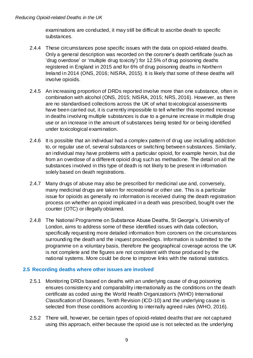examinations are conducted, it may still be difficult to ascribe death to specific substances.

- 2.4.4 These circumstances pose specific issues with the data on opioid-related deaths. Only a general description was recorded on the coroner's death certificate (such as 'drug overdose' or 'multiple drug toxicity') for 12.5% of drug poisoning deaths registered in England in 2015 and for 6% of drug poisoning deaths in Northern Ireland in 2014 (ONS, 2016; NISRA, 2015). It is likely that some of these deaths will involve opioids.
- 2.4.5 An increasing proportion of DRDs reported involve more than one substance, often in combination with alcohol (ONS, 2015; NISRA, 2015; NRS, 2016). However, as there are no standardised collections across the UK of what toxicological assessments have been carried out, it is currently impossible to tell whether this reported increase in deaths involving multiple substances is due to a genuine increase in multiple drug use or an increase in the amount of substances being tested for or being identified under toxicological examination.
- 2.4.6 It is possible that an individual had a complex pattern of drug use including addiction to, or regular use of, several substances or switching between substances. Similarly, an individual may have problems with a particular opioid, for example heroin, but die from an overdose of a different opioid drug such as methadone. The detail on all the substances involved in this type of death is not likely to be present in information solely based on death registrations.
- 2.4.7 Many drugs of abuse may also be prescribed for medicinal use and, conversely, many medicinal drugs are taken for recreational or other use. This is a particular issue for opioids as generally no information is received during the death registration process on whether an opioid implicated in a death was prescribed, bought over the counter (OTC) or illegally obtained.
- 2.4.8 The National Programme on Substance Abuse Deaths, St George's, University of London, aims to address some of these identified issues with data collection, specifically requesting more detailed information from coroners on the circumstances surrounding the death and the inquest proceedings. Information is submitted to the programme on a voluntary basis, therefore the geographical coverage across the UK is not complete and the figures are not consistent with those produced by the national systems. More could be done to improve links with the national statistics.

#### **2.5 Recording deaths where other issues are involved**

- 2.5.1 Monitoring DRDs based on deaths with an underlying cause of drug poisoning ensures consistency and comparability internationally as the conditions on the death certificate as coded using the World Health Organization's (WHO) International Classification of Diseases, Tenth Revision (ICD-10) and the underlying cause is selected from those conditions according to internally agreed rules (WHO, 2016).
- 2.5.2 There will, however, be certain types of opioid-related deaths that are not captured using this approach, either because the opioid use is not selected as the underlying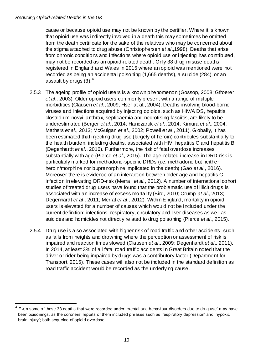$\overline{a}$ 

cause or because opioid use may not be known by the certifier. Where it is known that opioid use was indirectly involved in a death this may sometimes be omitted from the death certificate for the sake of the relatives who may be concerned about the stigma attached to drug abuse (Christophersen et al.,1998). Deaths that arise from chronic conditions and infections where opioid use or injecting has contributed, may not be recorded as an opioid-related death. Only 38 drug misuse deaths registered in England and Wales in 2015 where an opioid was mentioned were not recorded as being an accidental poisoning (1,665 deaths), a suicide (284), or an assault by drugs (3). $^4\,$ 

- 2.5.3 The ageing profile of opioid users is a known phenomenon (Gossop, 2008; Gfroerer et al., 2003). Older opioid users commonly present with a range of multiple morbidities (Clausen et al., 2009; Hser at al., 2004). Deaths involving blood-borne viruses and infections acquired by injecting opioids, such as HIV/AIDS, hepatitis, clostridium novyi, anthrax, septicaemia and necrotising fasciitis, are likely to be underestimated (Berger et al., 2014; Hanczaruk et al., 2014; Kimura et al., 2004; Mathers et al., 2013; McGuigan et al., 2002; Powell et al., 2011). Globally, it has been estimated that injecting drug use (largely of heroin) contributes substantially to the health burden, including deaths, associated with HIV, hepatitis C and hepatitis B (Degenhardt et al., 2016). Furthermore, the risk of fatal overdose increases substantially with age (Pierce et al., 2015). The age-related increase in DRD-risk is particularly marked for methadone-specific DRDs (i.e. methadone but neither heroin/morphine nor buprenorphine implicated in the death) (Gao et al., 2016). Moreover there is evidence of an interaction between older age and hepatitis C infection in elevating DRD-risk (Merrall et al., 2012). A number of international cohort studies of treated drug users have found that the problematic use of illicit drugs is associated with an increase of excess mortality (Bird, 2010; Crump at al., 2013; Degenhardt et al., 2011; Merral et al., 2012). Within England, mortality in opioid users is elevated for a number of causes which would not be included under the current definition: infections, respiratory, circulatory and liver diseases as well as suicides and homicides not directly related to drug poisoning (Pierce *et al.*, 2015).
- 2.5.4 Drug use is also associated with higher risk of road traffic and other accidents, such as falls from heights and drowning where the perception or assessment of risk is impaired and reaction times slowed (Clausen et al., 2009; Degenhardt et al., 2011). In 2014, at least 3% of all fatal road traffic accidents in Great Britain noted that the driver or rider being impaired by drugs was a contributory factor (Department for Transport, 2015). These cases will also not be included in the standard definition as road traffic accident would be recorded as the underlying cause.

<sup>4</sup> Even some of these 38 deaths that were recorded under 'mental and behaviour disorders due to drug use' may have been poisonings, as the coroners' reports of them included phrases such as 'respiratory depression' and 'hypoxic brain injury'; both sequelae of opioid overdose.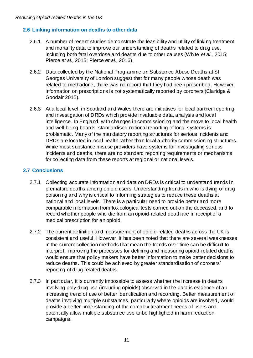#### **2.6 Linking information on deaths to other data**

- 2.6.1 A number of recent studies demonstrate the feasibility and utility of linking treatment and mortality data to improve our understanding of deaths related to drug use, including both fatal overdose and deaths due to other causes (White et al., 2015; Pierce et al., 2015; Pierce et al., 2016).
- 2.6.2 Data collected by the National Programme on Substance Abuse Deaths at St Georges University of London suggest that for many people whose death was related to methadone, there was no record that they had been prescribed. However, information on prescriptions is not systematically reported by coroners (Claridge & Goodair 2015).
- 2.6.3 At a local level, in Scotland and Wales there are initiatives for local partner reporting and investigation of DRDs which provide invaluable data, analysis and local intelligence. In England, with changes in commissioning and the move to local health and well-being boards, standardised national reporting of local systems is problematic. Many of the mandatory reporting structures for serious incidents and DRDs are located in local health rather than local authority commissioning structures. While most substance misuse providers have systems for investigating serious incidents and deaths, there are no standard reporting requirements or mechanisms for collecting data from these reports at regional or national levels.

#### **2.7 Conclusions**

- 2.7.1 Collecting accurate information and data on DRDs is critical to understand trends in premature deaths among opioid users. Understanding trends in who is dying of drug poisoning and why is critical to informing strategies to reduce these deaths at national and local levels. There is a particular need to provide better and more comparable information from toxicological tests carried out on the deceased, and to record whether people who die from an opioid-related death are in receipt of a medical prescription for an opioid.
- 2.7.2 The current definition and measurement of opioid-related deaths across the UK is consistent and useful. However, it has been noted that there are several weaknesses in the current collection methods that mean the trends over time can be difficult to interpret. Improving the processes for defining and measuring opioid-related deaths would ensure that policy makers have better information to make better decisions to reduce deaths. This could be achieved by greater standardisation of coroners' reporting of drug-related deaths.
- 2.7.3 In particular, it is currently impossible to assess whether the increase in deaths involving poly-drug use (including opioids) observed in the data is evidence of an increasing trend of use or better identification and recording. Better measurement of deaths involving multiple substances, particularly where opioids are involved, would provide a better understanding of the complex treatment needs of users and potentially allow multiple substance use to be highlighted in harm reduction campaigns.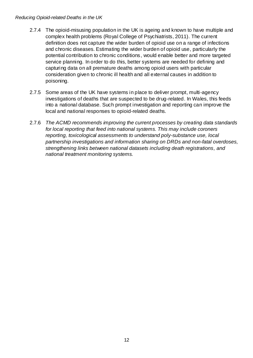- 2.7.4 The opioid-misusing population in the UK is ageing and known to have multiple and complex health problems (Royal College of Psychiatrists, 2011). The current definition does not capture the wider burden of opioid use on a range of infections and chronic diseases. Estimating the wider burden of opioid use, particularly the potential contribution to chronic conditions, would enable better and more targeted service planning. In order to do this, better systems are needed for defining and capturing data on all premature deaths among opioid users with particular consideration given to chronic ill health and all external causes in addition to poisoning.
- 2.7.5 Some areas of the UK have systems in place to deliver prompt, multi-agency investigations of deaths that are suspected to be drug-related. In Wales, this feeds into a national database. Such prompt investigation and reporting can improve the local and national responses to opioid-related deaths.
- <span id="page-14-0"></span>2.7.6 The ACMD recommends improving the current processes by creating data standards for local reporting that feed into national systems. This may include coroners reporting, toxicological assessments to understand poly-substance use, local partnership investigations and information sharing on DRDs and non-fatal overdoses, strengthening links between national datasets including death registrations, and national treatment monitoring systems.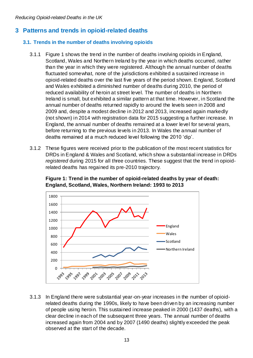# <span id="page-15-0"></span>**3 Patterns and trends in opioid-related deaths**

#### **3.1. Trends in the number of deaths involving opioids**

- 3.1.1 Figure 1 shows the trend in the number of deaths involving opioids in England, Scotland, Wales and Northern Ireland by the year in which deaths occurred, rather than the year in which they were registered. Although the annual number of deaths fluctuated somewhat, none of the jurisdictions exhibited a sustained increase in opioid-related deaths over the last five years of the period shown. England, Scotland and Wales exhibited a diminished number of deaths during 2010, the period of reduced availability of heroin at street level. The number of deaths in Northern Ireland is small, but exhibited a similar pattern at that time. However, in Scotland the annual number of deaths returned rapidly to around the levels seen in 2008 and 2009 and, despite a modest decline in 2012 and 2013, increased again markedly (not shown) in 2014 with registration data for 2015 suggesting a further increase. In England, the annual number of deaths remained at a lower level for several years, before returning to the previous levels in 2013. In Wales the annual number of deaths remained at a much reduced level following the 2010 'dip'.
- 3.1.2 These figures were received prior to the publication of the most recent statistics for DRDs in England & Wales and Scotland, which show a substantial increase in DRDs registered during 2015 for all three countries. These suggest that the trend in opioidrelated deaths has regained its pre-2010 trajectory.

<span id="page-15-1"></span>



3.1.3 In England there were substantial year-on-year increases in the number of opioidrelated deaths during the 1990s, likely to have been driven by an increasing number of people using heroin. This sustained increase peaked in 2000 (1437 deaths), with a clear decline in each of the subsequent three years. The annual number of deaths increased again from 2004 and by 2007 (1490 deaths) slightly exceeded the peak observed at the start of the decade.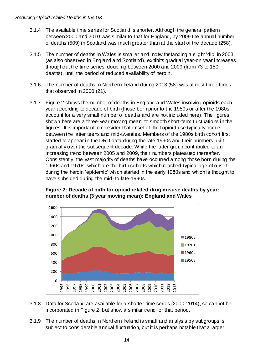- 3.1.4 The available time series for Scotland is shorter. Although the general pattern between 2000 and 2010 was similar to that for England, by 2009 the annual number of deaths (509) in Scotland was much greater than at the start of the decade (258).
- 3.1.5 The number of deaths in Wales is smaller and, notwithstanding a slight 'dip' in 2003 (as also observed in England and Scotland), exhibits gradual year-on year increases throughout the time series, doubling between 2000 and 2009 (from 73 to 150 deaths), until the period of reduced availability of heroin.
- 3.1.6 The number of deaths in Northern Ireland during 2013 (58) was almost three times that observed in 2000 (21).
- 3.1.7 Figure 2 shows the number of deaths in England and Wales involving opioids each year according to decade of birth (those born prior to the 1950s or after the 1980s account for a very small number of deaths and are not included here). The figures shown here are a three-year moving mean, to smooth short-term fluctuations in the figures. It is important to consider that onset of illicit opioid use typically occurs between the latter teens and mid-twenties. Members of the 1980s birth cohort first started to appear in the DRD data during the late 1990s and their numbers built gradually over the subsequent decade. While the latter group contributed to an increasing trend between 2005 and 2009, their numbers plateaued thereafter. Consistently, the vast majority of deaths have occurred among those born during the 1960s and 1970s, which are the birth cohorts which reached typical age of onset during the heroin 'epidemic' which started in the early 1980s and which is thought to have subsided during the mid- to late-1990s.



<span id="page-16-0"></span>**Figure 2: Decade of birth for opioid related drug misuse deaths by year: number of deaths (3 year moving mean): England and Wales**

- 3.1.8 Data for Scotland are available for a shorter time series (2000-2014), so cannot be incorporated in Figure 2, but show a similar trend for that period.
- 3.1.9 The number of deaths in Northern Ireland is small and analysis by subgroups is subject to considerable annual fluctuation, but it is perhaps notable that a larger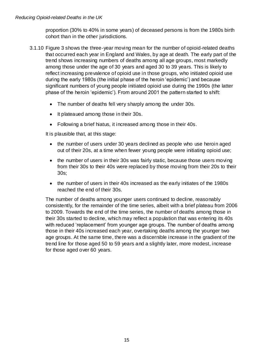proportion (30% to 40% in some years) of deceased persons is from the 1980s birth cohort than in the other jurisdictions.

- 3.1.10 Figure 3 shows the three-year moving mean for the number of opioid-related deaths that occurred each year in England and Wales, by age at death. The early part of the trend shows increasing numbers of deaths among all age groups, most markedly among those under the age of 30 years and aged 30 to 39 years. This is likely to reflect increasing prevalence of opioid use in those groups, who initiated opioid use during the early 1980s (the initial phase of the heroin 'epidemic') and because significant numbers of young people initiated opioid use during the 1990s (the latter phase of the heroin 'epidemic'). From around 2001 the pattern started to shift:
	- The number of deaths fell very sharply among the under 30s.
	- It plateaued among those in their 30s.
	- Following a brief hiatus, it increased among those in their 40s.

It is plausible that, at this stage:

- the number of users under 30 years declined as people who use heroin aged out of their 20s, at a time when fewer young people were initiating opioid use;
- the number of users in their 30s was fairly static, because those users moving from their 30s to their 40s were replaced by those moving from their 20s to their 30s;
- the number of users in their 40s increased as the early initiates of the 1980s reached the end of their 30s.

The number of deaths among younger users continued to decline, reasonably consistently, for the remainder of the time series, albeit with a brief plateau from 2006 to 2009. Towards the end of the time series, the number of deaths among those in their 30s started to decline, which may reflect a population that was entering its 40s with reduced 'replacement' from younger age groups. The number of deaths among those in their 40s increased each year, overtaking deaths among the younger two age groups. At the same time, there was a discernible increase in the gradient of the trend line for those aged 50 to 59 years and a slightly later, more modest, increase for those aged over 60 years.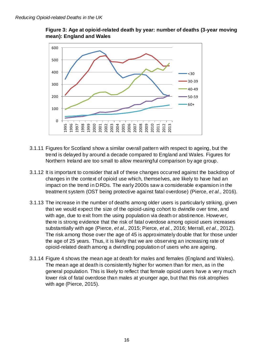<span id="page-18-0"></span>



- 3.1.11 Figures for Scotland show a similar overall pattern with respect to ageing, but the trend is delayed by around a decade compared to England and Wales. Figures for Northern Ireland are too small to allow meaningful comparison by age group.
- 3.1.12 It is important to consider that all of these changes occurred against the backdrop of changes in the context of opioid use which, themselves, are likely to have had an impact on the trend in DRDs. The early 2000s saw a considerable expansion in the treatment system (OST being protective against fatal overdose) (Pierce, et al., 2016).
- 3.1.13 The increase in the number of deaths among older users is particularly striking, given that we would expect the size of the opioid-using cohort to dwindle over time, and with age, due to exit from the using population via death or abstinence. However, there is strong evidence that the risk of fatal overdose among opioid users increases substantially with age (Pierce, et al., 2015; Pierce, et al., 2016; Merrall, et al., 2012). The risk among those over the age of 45 is approximately double that for those under the age of 25 years. Thus, it is likely that we are observing an increasing rate of opioid-related death among a dwindling population of users who are ageing.
- 3.1.14 Figure 4 shows the mean age at death for males and females (England and Wales). The mean age at death is consistently higher for women than for men, as in the general population. This is likely to reflect that female opioid users have a very much lower risk of fatal overdose than males at younger age, but that this risk atrophies with age (Pierce, 2015).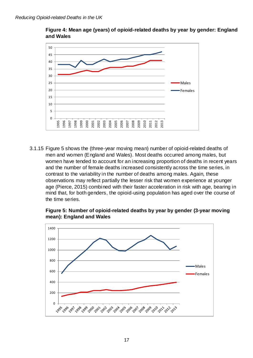<span id="page-19-0"></span>

**Figure 4: Mean age (years) of opioid-related deaths by year by gender: England and Wales**

3.1.15 Figure 5 shows the (three-year moving mean) number of opioid-related deaths of men and women (England and Wales). Most deaths occurred among males, but women have tended to account for an increasing proportion of deaths in recent years and the number of female deaths increased consistently across the time series, in contrast to the variability in the number of deaths among males. Again, these observations may reflect partially the lesser risk that women experience at younger age (Pierce, 2015) combined with their faster acceleration in risk with age, bearing in mind that, for both genders, the opioid-using population has aged over the course of the time series.

<span id="page-19-1"></span>

**Figure 5: Number of opioid-related deaths by year by gender (3-year moving mean): England and Wales**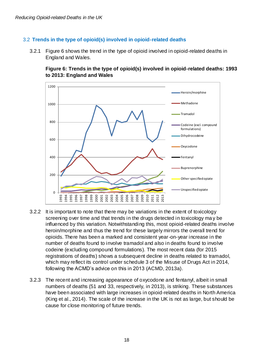#### 3.2 **Trends in the type of opioid(s) involved in opioid-related deaths**

<span id="page-20-0"></span>3.2.1 Figure 6 shows the trend in the type of opioid involved in opioid-related deaths in England and Wales.

**Figure 6: Trends in the type of opioid(s) involved in opioid-related deaths: 1993 to 2013: England and Wales**



- 3.2.2 It is important to note that there may be variations in the extent of toxicology screening over time and that trends in the drugs detected in toxicology ma y be influenced by this variation. Notwithstanding this, most opioid-related deaths involve heroin/morphine and thus the trend for these largely mirrors the overall trend for opioids. There has been a marked and consistent year-on-year increase in the number of deaths found to involve tramadol and also in deaths found to involve codeine (excluding compound formulations). The most recent data (for 2015 registrations of deaths) shows a subsequent decline in deaths related to tramadol, which may reflect its control under schedule 3 of the Misuse of Drugs Act in 2014, following the ACMD's advice on this in 2013 (ACMD, 2013a).
- 3.2.3 The recent and increasing appearance of oxycodone and fentanyl, albeit in small numbers of deaths (51 and 33, respectively, in 2013), is striking. These substances have been associated with large increases in opioid-related deaths in North America (King et al., 2014). The scale of the increase in the UK is not as large, but should be cause for close monitoring of future trends.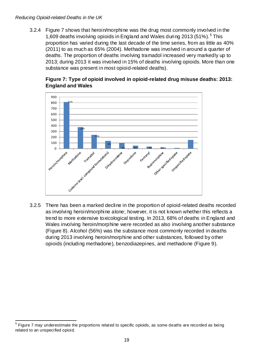3.2.4 Figure 7 shows that heroin/morphine was the drug most commonly involved in the 1,609 deaths involving opioids in England and Wales during 2013 (51%). <sup>5</sup> This proportion has varied during the last decade of the time series, from as little as 40% (2011) to as much as 65% (2004). Methadone was involved in around a quarter of deaths. The proportion of deaths involving tramadol increased very markedly up to 2013; during 2013 it was involved in 15% of deaths involving opioids. More than one substance was present in most opioid-related deaths).



#### <span id="page-21-0"></span>**Figure 7: Type of opioid involved in opioid-related drug misuse deaths: 2013: England and Wales**

3.2.5 There has been a marked decline in the proportion of opioid-related deaths recorded as involving heroin/morphine alone; however, it is not known whether this reflects a trend to more extensive toxicological testing. In 2013, 68% of deaths in England and Wales involving heroin/morphine were recorded as also involving another substance (Figure 8). Alcohol (56%) was the substance most commonly recorded in deaths during 2013 involving heroin/morphine and other substances, followed by other opioids (including methadone), benzodiazepines, and methadone (Figure 9).

 $\overline{a}$ 5 Figure 7 may underestimate the proportions related to specific opioids, as some deaths are recorded as being related to an unspecified opioid.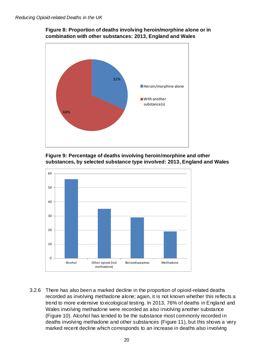<span id="page-22-0"></span>



<span id="page-22-1"></span>



3.2.6 There has also been a marked decline in the proportion of opioid-related deaths recorded as involving methadone alone; again, it is not known whether this reflects a trend to more extensive toxicological testing. In 2013, 76% of deaths in England and Wales involving methadone were recorded as also involving another substance (Figure 10). Alcohol has tended to be the substance most commonly recorded in deaths involving methadone and other substances (Figure 11), but this shows a very marked recent decline which corresponds to an increase in deaths also involving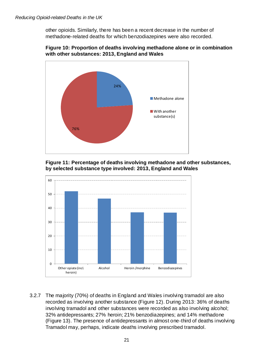other opioids. Similarly, there has been a recent decrease in the number of methadone-related deaths for which benzodiazepines were also recorded.

<span id="page-23-0"></span>



<span id="page-23-1"></span>



3.2.7 The majority (70%) of deaths in England and Wales involving tramadol are also recorded as involving another substance (Figure 12). During 2013: 36% of deaths involving tramadol and other substances were recorded as also involving alcohol; 32% antidepressants; 27% heroin; 21% benzodiazepines; and 14% methadone (Figure 13). The presence of antidepressants in almost one-third of deaths involving Tramadol may, perhaps, indicate deaths involving prescribed tramadol.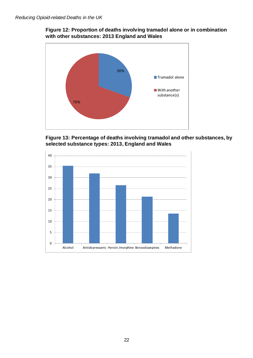<span id="page-24-0"></span>



**Figure 13: Percentage of deaths involving tramadol and other substances, by selected substance types: 2013, England and Wales**

<span id="page-24-1"></span>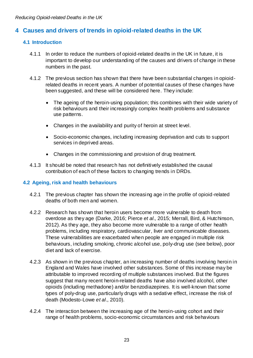### **4 Causes and drivers of trends in opioid-related deaths in the UK**

#### **4.1 Introduction**

- 4.1.1 In order to reduce the numbers of opioid-related deaths in the UK in future, it is important to develop our understanding of the causes and drivers of change in these numbers in the past.
- 4.1.2 The previous section has shown that there have been substantial changes in opioidrelated deaths in recent years. A number of potential causes of these changes have been suggested, and these will be considered here. They include:
	- The ageing of the heroin-using population; this combines with their wide variety of risk behaviours and their increasingly complex health problems and substance use patterns.
	- Changes in the availability and purity of heroin at street level.
	- Socio-economic changes, including increasing deprivation and cuts to support services in deprived areas.
	- Changes in the commissioning and provision of drug treatment.
- 4.1.3 It should be noted that research has not definitively established the causal contribution of each of these factors to changing trends in DRDs.

#### **4.2 Ageing, risk and health behaviours**

- 4.2.1 The previous chapter has shown the increasing age in the profile of opioid-related deaths of both men and women.
- 4.2.2 Research has shown that heroin users become more vulnerable to death from overdose as they age (Darke, 2016; Pierce et al., 2015; Merrall, Bird, & Hutchinson, 2012). As they age, they also become more vulnerable to a range of other health problems, including respiratory, cardiovascular, liver and communicable diseases. These vulnerabilities are exacerbated when people are engaged in multiple risk behaviours, including smoking, chronic alcohol use, poly-drug use (see below), poor diet and lack of exercise.
- 4.2.3 As shown in the previous chapter, an increasing number of deaths involving heroin in England and Wales have involved other substances. Some of this increase may be attributable to improved recording of multiple substances involved. But the figures suggest that many recent heroin-related deaths have also involved alcohol, other opioids (including methadone) and/or benzodiazepines. It is well-known that some types of poly-drug use, particularly drugs with a sedative effect, increase the risk of death (Modesto-Lowe et al., 2010).
- 4.2.4 The interaction between the increasing age of the heroin-using cohort and their range of health problems, socio-economic circumstances and risk behaviours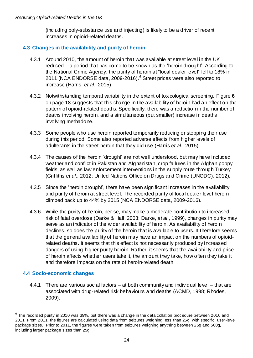(including poly-substance use and injecting) is likely to be a driver of recent increases in opioid-related deaths.

#### **4.3 Changes in the availability and purity of heroin**

- 4.3.1 Around 2010, the amount of heroin that was available at street level in the UK reduced – a period that has come to be known as the 'heroin drought'. According to the National Crime Agency, the purity of heroin at "local dealer level" fell to 18% in 2011 (NCA ENDORSE data, 2009-2016).<sup>6</sup> Street prices were also reported to increase (Harris, et al., 2015).
- 4.3.2 Notwithstanding temporal variability in the extent of toxicological screening, [Figure](#page-20-0) **6** on page [18](#page-20-0) suggests that this change in the availability of heroin had an effect on the pattern of opioid-related deaths. Specifically, there was a reduction in the number of deaths involving heroin, and a simultaneous (but smaller) increase in deaths involving methadone.
- 4.3.3 Some people who use heroin reported temporarily reducing or stopping their use during this period. Some also reported adverse effects from higher levels of adulterants in the street heroin that they did use (Harris et al., 2015).
- 4.3.4 The causes of the heroin 'drought' are not well understood, but may have included weather and conflict in Pakistan and Afghanistan, crop failures in the Afghan poppy fields, as well as law enforcement interventions in the supply route through Turkey (Griffiths et al., 2012; United Nations Office on Drugs and Crime (UNODC), 2012).
- 4.3.5 Since the 'heroin drought', there have been significant increases in the availability and purity of heroin at street level. The recorded purity of local dealer level heroin climbed back up to 44% by 2015 (NCA ENDORSE data, 2009-2016).
- 4.3.6 While the purity of heroin, per se, may make a moderate contribution to increased risk of fatal overdose (Darke & Hall, 2003; Darke, et al., 1999), changes in purity may serve as an indicator of the wider availability of heroin. As availability of heroin declines, so does the purity of the heroin that is available to users. It therefore seems that the general availability of heroin may have an impact on the numbers of opioidrelated deaths. It seems that this effect is not necessarily produced by increased dangers of using higher purity heroin. Rather, it seems that the availability and price of heroin affects whether users take it, the amount they take, how often they take it and therefore impacts on the rate of heroin-related death.

#### **4.4 Socio-economic changes**

4.4.1 There are various social factors – at both community and individual level – that are associated with drug-related risk behaviours and deaths (ACMD, 1998; Rhodes, 2009).

 $\overline{\phantom{a}}$  $^6$  The recorded purity in 2010 was 39%, but there was a change in the data collation procedure between 2010 and 2011. From 2011, the figures are calculated using data from seizures weighing less than 25g, with specific, user-level package sizes. Prior to 2011, the figures were taken from seizures weighing anything between 25g and 500g, including larger package sizes than 25g.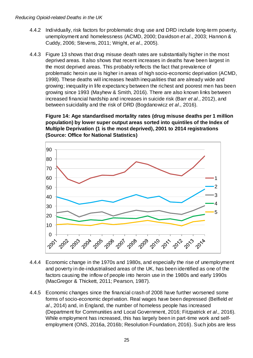- 4.4.2 Individually, risk factors for problematic drug use and DRD include long-term poverty, unemployment and homelessness (ACMD, 2000; Davidson et al., 2003; Hannon & Cuddy, 2006; Stevens, 2011; Wright, et al., 2005).
- 4.4.3 Figure 13 shows that drug misuse death rates are substantially higher in the most deprived areas. It also shows that recent increases in deaths have been largest in the most deprived areas. This probably reflects the fact that prevalence of problematic heroin use is higher in areas of high socio-economic deprivation (ACMD, 1998). These deaths will increases health inequalities that are already wide and growing; inequality in life expectancy between the richest and poorest men has been growing since 1993 (Mayhew & Smith, 2016). There are also known links between increased financial hardship and increases in suicide risk (Barr et al., 2012), and between suicidality and the risk of DRD (Bogdanowicz et al., 2016).

<span id="page-27-0"></span>**Figure 14: Age standardised mortality rates (drug misuse deaths per 1 million population) by lower super output areas sorted into quintiles of the Index of Multiple Deprivation (1 is the most deprived), 2001 to 2014 registrations (Source: Office for National Statistics)**



- 4.4.4 Economic change in the 1970s and 1980s, and especially the rise of unemployment and poverty in de-industrialised areas of the UK, has been identified as one of the factors causing the inflow of people into heroin use in the 1980s and early 1990s (MacGregor & Thickett, 2011; Pearson, 1987).
- 4.4.5 Economic changes since the financial crash of 2008 have further worsened some forms of socio-economic deprivation. Real wages have been depressed (Belfield et al., 2014) and, in England, the number of homeless people has increased (Department for Communities and Local Government, 2016; Fitzpatrick et al., 2016). While employment has increased, this has largely been in part-time work and selfemployment (ONS, 2016a, 2016b; Resolution Foundation, 2016). Such jobs are less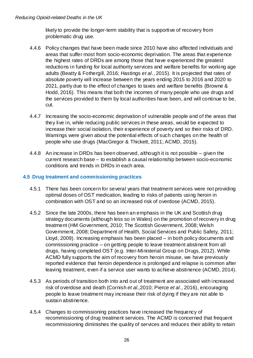likely to provide the longer-term stability that is supportive of recovery from problematic drug use.

- 4.4.6 Policy changes that have been made since 2010 have also affected individuals and areas that suffer most from socio-economic deprivation. The areas that experience the highest rates of DRDs are among those that have experienced the greatest reductions in funding for local authority services and welfare benefits for working age adults (Beatty & Fothergill, 2016; Hastings et al., 2015). It is projected that rates of absolute poverty will increase between the years ending 2015 to 2016 and 2020 to 2021, partly due to the effect of changes to taxes and welfare benefits (Browne & Hodd, 2016). This means that both the incomes of many people who use drugs and the services provided to them by local authorities have been, and will continue to be, cut.
- 4.4.7 Increasing the socio-economic deprivation of vulnerable people and of the areas that they live in, while reducing public services in these areas, would be expected to increase their social isolation, their experience of poverty and so their risks of DRD. Warnings were given about the potential effects of such changes on the health of people who use drugs (MacGregor & Thickett, 2011; ACMD, 2015).
- 4.4.8 An increase in DRDs has been observed, although it is not possible given the current research base – to establish a causal relationship between socio-economic conditions and trends in DRDs in each area.

#### **4.5 Drug treatment and commissioning practices**

- 4.5.1 There has been concern for several years that treatment services were not providing optimal doses of OST medication, leading to risks of patients using heroin in combination with OST and so an increased risk of overdose (ACMD, 2015).
- 4.5.2 Since the late 2000s, there has been an emphasis in the UK and Scottish drug strategy documents (although less so in Wales) on the promotion of recovery in drug treatment (HM Government, 2010; The Scottish Government, 2008; Welsh Government, 2008; Department of Health, Social Services and Public Safety, 2011; Lloyd, 2009). Increasing emphasis has been placed – in both policy documents and commissioning practice – on getting people to leave treatment abstinent from all drugs, having completed OST (e.g. Inter-Ministerial Group on Drugs, 2012). While ACMD fully supports the aim of recovery from heroin misuse, we have previously reported evidence that heroin dependence is prolonged and relapse is common after leaving treatment, even if a service user wants to achieve abstinence (ACMD, 2014).
- 4.5.3 As periods of transition both into and out of treatment are associated with increased risk of overdose and death (Cornish et al., 2010; Pierce et al., 2016), encouraging people to leave treatment may increase their risk of dying if they are not able to sustain abstinence.
- 4.5.4 Changes to commissioning practices have increased the frequency of recommissioning of drug treatment services. The ACMD is concerned that frequent recommissioning diminishes the quality of services and reduces their ability to retain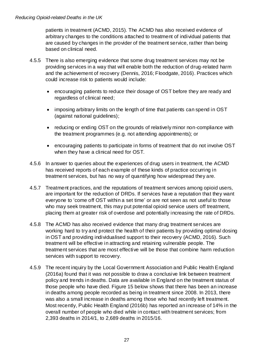patients in treatment (ACMD, 2015). The ACMD has also received evidence of arbitrary changes to the conditions attached to treatment of individual patients that are caused by changes in the provider of the treatment service, rather than being based on clinical need.

- 4.5.5 There is also emerging evidence that some drug treatment services may not be providing services in a way that will enable both the reduction of drug-related harm and the achievement of recovery (Dennis, 2016; Floodgate, 2016). Practices which could increase risk to patients would include:
	- encouraging patients to reduce their dosage of OST before they are ready and regardless of clinical need;
	- imposing arbitrary limits on the length of time that patients can spend in OST (against national guidelines);
	- reducing or ending OST on the grounds of relatively minor non-compliance with the treatment programmes (e.g. not attending appointments); or
	- encouraging patients to participate in forms of treatment that do not involve OST when they have a clinical need for OST.
- 4.5.6 In answer to queries about the experiences of drug users in treatment, the ACMD has received reports of each example of these kinds of practice occurring in treatment services, but has no way of quantifying how widespread they are.
- 4.5.7 Treatment practices, and the reputations of treatment services among opioid users, are important for the reduction of DRDs. If services have a reputation that they want everyone to 'come off OST within a set time' or are not seen as not useful to those who may seek treatment, this may put potential opioid service users off treatment, placing them at greater risk of overdose and potentially increasing the rate of DRDs.
- 4.5.8 The ACMD has also received evidence that many drug treatment services are working hard to try and protect the health of their patients by providing optimal dosing in OST and providing individualised support to their recovery (ACMD, 2016). Such treatment will be effective in attracting and retaining vulnerable people. The treatment services that are most effective will be those that combine harm reduction services with support to recovery.
- 4.5.9 The recent inquiry by the Local Government Association and Public Health England (2016a) found that it was not possible to draw a conclusive link between treatment policy and trends in deaths. Data are available in England on the treatment status of those people who have died. Figure 15 below shows that there has been an increase in deaths among people recorded as being in treatment since 2008. In 2013, there was also a small increase in deaths among those who had recently left treatment. Most recently, Public Health England (2016b) has reported an increase of 14% in the overall number of people who died while in contact with treatment services; from 2,393 deaths in 2014/1, to 2,689 deaths in 2015/16.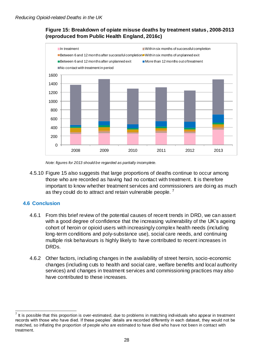#### **Figure 15: Breakdown of opiate misuse deaths by treatment status, 2008-2013 (reproduced from Public Health England, 2016c)**

<span id="page-30-0"></span>

Note: figures for 2013 should be regarded as partially incomplete.

4.5.10 Figure 15 also suggests that large proportions of deaths continue to occur among those who are recorded as having had no contact with treatment. It is therefore important to know whether treatment services and commissioners are doing as much as they could do to attract and retain vulnerable people.

#### **4.6 Conclusion**

- 4.6.1 From this brief review of the potential causes of recent trends in DRD, we can assert with a good degree of confidence that the increasing vulnerability of the UK's ageing cohort of heroin or opioid users with increasingly complex health needs (including long-term conditions and poly-substance use), social care needs, and continuing multiple risk behaviours is highly likely to have contributed to recent increases in DRDs.
- 4.6.2 Other factors, including changes in the availability of street heroin, socio-economic changes (including cuts to health and social care, welfare benefits and local authority services) and changes in treatment services and commissioning practices may also have contributed to these increases.

 $\overline{a}$ 7 It is possible that this proportion is over-estimated, due to problems in matching individuals who appear in treatment records with those who have died. If these peoples' details are recorded differently in each dataset, they would not be matched, so inflating the proportion of people who are estimated to have died who have not been in contact with treatment.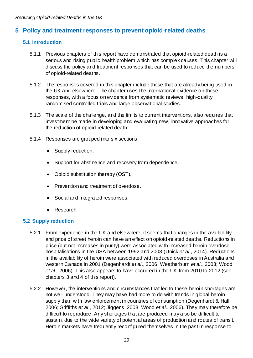### <span id="page-31-0"></span>**5 Policy and treatment responses to prevent opioid-related deaths**

#### **5.1 Introduction**

- 5.1.1 Previous chapters of this report have demonstrated that opioid-related death is a serious and rising public health problem which has complex causes. This chapter will discuss the policy and treatment responses that can be used to reduce the numbers of opioid-related deaths.
- 5.1.2 The responses covered in this chapter include those that are already being used in the UK and elsewhere. The chapter uses the international evidence on these responses, with a focus on evidence from systematic reviews, high-quality randomised controlled trials and large observational studies.
- 5.1.3 The scale of the challenge, and the limits to current interventions, also requires that investment be made in developing and evaluating new, innovative approaches for the reduction of opioid-related death.
- 5.1.4 Responses are grouped into six sections:
	- Supply reduction.
	- Support for abstinence and recovery from dependence.
	- Opioid substitution therapy (OST).
	- Prevention and treatment of overdose.
	- Social and integrated responses.
	- Research.

#### **5.2 Supply reduction**

- 5.2.1 From experience in the UK and elsewhere, it seems that changes in the availability and price of street heroin can have an effect on opioid-related deaths. Reductions in price (but not increases in purity) were associated with increased heroin overdose hospitalisations in the USA between 1992 and 2008 (Unick et al., 2014). Reductions in the availability of heroin were associated with reduced overdoses in Australia and western Canada in 2001 (Degenhardt et al., 2006; Weatherburn et al., 2003; Wood et al., 2006). This also appears to have occurred in the UK from 2010 to 2012 (see chapters 3 and 4 of this report).
- 5.2.2 However, the interventions and circumstances that led to these heroin shortages are not well understood. They may have had more to do with trends in global heroin supply than with law enforcement in countries of consumption (Degenhardt & Hall, 2006; Griffiths et al., 2012; Jiggens, 2008; Wood et al., 2006). They may therefore be difficult to reproduce. Any shortages that are produced may also be difficult to sustain, due to the wide variety of potential areas of production and routes of transit. Heroin markets have frequently reconfigured themselves in the past in response to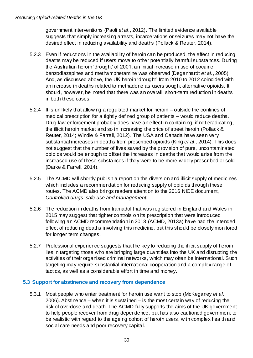government interventions (Paoli et al., 2012). The limited evidence available suggests that simply increasing arrests, incarcerations or seizures may not have the desired effect in reducing availability and deaths (Pollack & Reuter, 2014).

- 5.2.3 Even if reductions in the availability of heroin can be produced, the effect in reducing deaths may be reduced if users move to other potentially harmful substances. During the Australian heroin 'drought' of 2001, an initial increase in use of cocaine, benzodiazepines and methamphetamine was observed (Degenhardt et al., 2005). And, as discussed above, the UK heroin 'drought' from 2010 to 2012 coincided with an increase in deaths related to methadone as users sought alternative opioids. It should, however, be noted that there was an overall, short-term reduction in deaths in both these cases.
- 5.2.4 It is unlikely that allowing a regulated market for heroin outside the confines of medical prescription for a tightly defined group of patients – would reduce deaths. Drug law enforcement probably does have an effect in containing, if not eradicating, the illicit heroin market and so in increasing the price of street heroin (Pollack & Reuter, 2014; Windle & Farrell, 2012). The USA and Canada have seen very substantial increases in deaths from prescribed opioids (King et al., 2014). This does not suggest that the number of lives saved by the provision of pure, uncontaminated opioids would be enough to offset the increases in deaths that would arise from the increased use of these substances if they were to be more widely prescribed or sold (Darke & Farrell, 2014).
- 5.2.5 The ACMD will shortly publish a report on the diversion and illicit supply of medicines which includes a recommendation for reducing supply of opioids through these routes. The ACMD also brings readers attention to the 2016 NICE document, Controlled drugs: safe use and management.
- 5.2.6 The reduction in deaths from tramadol that was registered in England and Wales in 2015 may suggest that tighter controls on its prescription that were introduced following an ACMD recommendation in 2013 (ACMD, 2013a) have had the intended effect of reducing deaths involving this medicine, but this should be closely monitored for longer term changes.
- 5.2.7 Professional experience suggests that the key to reducing the illicit supply of heroin lies in targeting those who are bringing large quantities into the UK and disrupting the activities of their organised criminal networks, which may often be international. Such targeting may require substantial international cooperation and a complex range of tactics, as well as a considerable effort in time and money.

#### **5.3 Support for abstinence and recovery from dependence**

5.3.1 Most people who enter treatment for heroin use want to stop (McKeganey et al., 2006). Abstinence – when it is sustained – is the most certain way of reducing the risk of overdose and death. The ACMD fully supports the aims of the UK government to help people recover from drug dependence, but has also cautioned government to be realistic with regard to the ageing cohort of heroin users, with complex health and social care needs and poor recovery capital.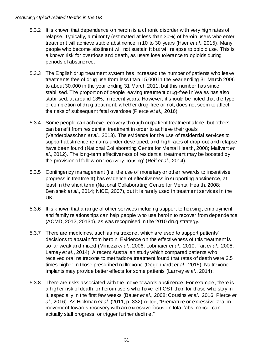- 5.3.2 It is known that dependence on heroin is a chronic disorder with very high rates of relapse. Typically, a minority (estimated at less than 30%) of heroin users who enter treatment will achieve stable abstinence in 10 to 30 years (Hser et al., 2015). Many people who become abstinent will not sustain it but will relapse to opioid use. This is a known risk for overdose and death, as users lose tolerance to opioids during periods of abstinence.
- 5.3.3 The English drug treatment system has increased the number of patients who leave treatments free of drug use from less than 15,000 in the year ending 31 March 2006 to about 30,000 in the year ending 31 March 2011, but this number has since stabilised. The proportion of people leaving treatment drug-free in Wales has also stabilised, at around 13%, in recent years. However, it should be noted that the type of completion of drug treatment, whether drug-free or not, does not seem to affect the risks of subsequent fatal overdose (Pierce et al., 2016).
- 5.3.4 Some people can achieve recovery through outpatient treatment alone, but others can benefit from residential treatment in order to achieve their goals (Vanderplasschen et al., 2013). The evidence for the use of residential services to support abstinence remains under-developed, and high rates of drop-out and relapse have been found (National Collaborating Centre for Mental Health, 2008; Malivert et al., 2012). The long-term effectiveness of residential treatment may be boosted by the provision of follow-on 'recovery housing' (Reif et al., 2014).
- 5.3.5 Contingency management (i.e. the use of monetary or other rewards to incentivise progress in treatment) has evidence of effectiveness in supporting abstinence, at least in the short term (National Collaborating Centre for Mental Health, 2008; Benishek et al., 2014; NICE, 2007), but it is rarely used in treatment services in the UK.
- 5.3.6 It is known that a range of other services including support to housing, employment and family relationships can help people who use heroi n to recover from dependence (ACMD, 2012, 2013b), as was recognised in the 2010 drug strategy.
- 5.3.7 There are medicines, such as naltrexone, which are used to support patients' decisions to abstain from heroin. Evidence on the effectiveness of this treatment is so far weak and mixed (Minozzi et al., 2006; Lobmaier et al., 2010; Tait et al., 2008; Larney et al., 2014). A recent Australian study which compared patients who received oral naltrexone to methadone treatment found that rates of death were 3.5 times higher in those prescribed naltrexone (Degenhardt et al., 2015). Naltrexone implants may provide better effects for some patients (Larney et al., 2014).
- 5.3.8 There are risks associated with the move towards abstinence. For example, there is a higher risk of death for heroin users who have left OST than for those who stay in it, especially in the first few weeks (Bauer et al., 2008; Cousins et al., 2016; Pierce et al., 2016). As Hickman et al. (2011, p. 332) noted, "Premature or excessive zeal in movement towards recovery with an excessive focus on total 'abstinence' can actually stall progress, or trigger further decline."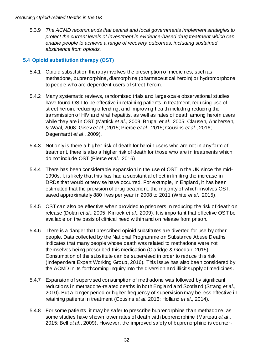<span id="page-34-0"></span>5.3.9 The ACMD recommends that central and local governments implement strategies to protect the current levels of investment in evidence-based drug treatment which can enable people to achieve a range of recovery outcomes, including sustained abstinence from opioids.

#### **5.4 Opioid substitution therapy (OST)**

- 5.4.1 Opioid substitution therapy involves the prescription of medicines, such as methadone, buprenorphine, diamorphine (pharmaceutical heroin) or hydromorphone to people who are dependent users of street heroin.
- 5.4.2 Many systematic reviews, randomised trials and large-scale observational studies have found OST to be effective in retaining patients in treatment, reducing use of street heroin, reducing offending, and improving health including reducing the transmission of HIV and viral hepatitis, as well as rates of death among heroin users while they are in OST (Mattick et al., 2009; Brugal et al., 2005; Clausen, Anchersen, & Waal, 2008; Gisev et al., 2015; Pierce et al., 2015; Cousins et al., 2016; Degenhardt et al., 2009).
- 5.4.3 Not only is there a higher risk of death for heroin users who are not in any form of treatment, there is also a higher risk of death for those who are in treatments which do not include OST (Pierce et al., 2016).
- 5.4.4 There has been considerable expansion in the use of OST in the UK since the mid-1990s. It is likely that this has had a substantial effect in limiting the increase in DRDs that would otherwise have occurred. For example, in England, it has been estimated that the provision of drug treatment, the majority of which involves OST, saved approximately 880 lives per year in 2008 to 2011 (White et al., 2015).
- 5.4.5 OST can also be effective when provided to prisoners in reducing the risk of death on release (Dolan et al., 2005; Kinlock et al., 2009). It is important that effective OST be available on the basis of clinical need within and on release from prison.
- 5.4.6 There is a danger that prescribed opioid substitutes are diverted for use by other people. Data collected by the National Programme on Substance Abuse Deaths indicates that many people whose death was related to methadone were not themselves being prescribed this medication (Claridge & Goodair, 2015). Consumption of the substitute can be supervised in order to reduce this risk (Independent Expert Working Group, 2016). This issue has also been considered by the ACMD in its forthcoming inquiry into the diversion and illicit supply of medicines.
- 5.4.7 Expansion of supervised consumption of methadone was followed by significant reductions in methadone-related deaths in both England and Scotland (Strang et al., 2010). But a longer period or higher frequency of supervision may be less effective in retaining patients in treatment (Cousins et al. 2016; Holland et al., 2014).
- 5.4.8 For some patients, it may be safer to prescribe buprenorphine than methadone, as some studies have shown lower rates of death with buprenorphine (Marteau et al., 2015; Bell et al., 2009). However, the improved safety of buprenorphine is counter-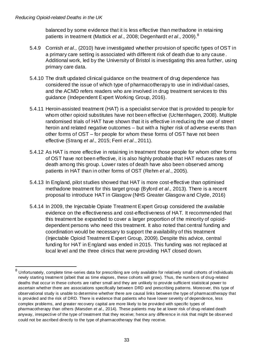$\overline{a}$ 

balanced by some evidence that it is less effective than methadone in retaining patients in treatment (Mattick *et al.*, 2008; Degenhardt *et al.*, 2009).<sup>8</sup>

- 5.4.9 Cornish et al., (2010) have investigated whether provision of specific types of OST in a primary care setting is associated with different risk of death due to any cause . Additional work, led by the University of Bristol is investigating this area further, using primary care data.
- 5.4.10 The draft updated clinical guidance on the treatment of drug dependence has considered the issue of which type of pharmacotherapy to use in individual cases, and the ACMD refers readers who are involved in drug treatment services to this guidance (Independent Expert Working Group, 2016).
- 5.4.11 Heroin-assisted treatment (HAT) is a specialist service that is provided to people for whom other opioid substitutes have not been effective (Uchtenhagen, 2008). Multiple randomised trials of HAT have shown that it is effective in reducing the use of street heroin and related negative outcomes – but with a higher risk of adverse events than other forms of OST – for people for whom these forms of OST have not been effective (Strang et al., 2015; Ferri et al., 2011).
- 5.4.12 As HAT is more effective in retaining in treatment those people for whom other forms of OST have not been effective, it is also highly probable that HAT reduces rates of death among this group. Lower rates of death have also been observed among patients in HAT than in other forms of OST (Rehm et al., 2005).
- 5.4.13 In England, pilot studies showed that HAT is more cost-effective than optimised methadone treatment for this target group (Byford et al., 2013). There is a recent proposal to introduce HAT in Glasgow (NHS Greater Glasgow and Clyde, 2016)
- 5.4.14 In 2009, the Injectable Opiate Treatment Expert Group considered the available evidence on the effectiveness and cost-effectiveness of HAT. It recommended that this treatment be expanded to cover a larger proportion of the minority of opioiddependent persons who need this treatment. It also noted that central funding and coordination would be necessary to support the availability of this treatment (Injectable Opioid Treatment Expert Group, 2009). Despite this advice, central funding for HAT in England was ended in 2015. This funding was not replaced at local level and the three clinics that were providing HAT closed down.

 $8$  Unfortunately, complete time-series data for prescribing are only available for relatively small cohorts of individuals newly starting treatment (albeit that as time elapses, these cohorts will grow). Thus, the numbers of drug-related deaths that occur in these cohorts are rather small and they are unlikely to provide sufficient statistical power to ascertain whether there are associations specifically between DRD and prescribing patterns. Moreover, this type of observational study is unable to determine whether there are causal links between the type of pharmacotherapy that is provided and the risk of DRD. There is evidence that patients who have lower severity of dependence, less complex problems, and greater recovery capital are more likely to be provided with specific types of pharmacotherapy than others (Marsden et al., 2014). These patients may be at lower risk of drug-related death anyway, irrespective of the type of treatment that they receive; hence any difference in risk that might be observed could not be ascribed directly to the type of pharmacotherapy that they receive.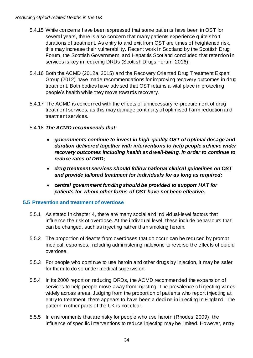- 5.4.15 While concerns have been expressed that some patients have been in OST for several years, there is also concern that many patients experience quite short durations of treatment. As entry to and exit from OST are times of heightened risk, this may increase their vulnerability. Recent work in Scotland by the Scottish Drug Forum, the Scottish Government, and Hepatitis Scotland concluded that retention in services is key in reducing DRDs (Scottish Drugs Forum, 2016).
- 5.4.16 Both the ACMD (2012a, 2015) and the Recovery Oriented Drug Treatment Expert Group (2012) have made recommendations for improving recovery outcomes in drug treatment. Both bodies have advised that OST retains a vital place in protecting people's health while they move towards recovery.
- 5.4.17 The ACMD is concerned with the effects of unnecessary re-procurement of drug treatment services, as this may damage continuity of optimised harm reduction and treatment services.
- <span id="page-36-0"></span>5.4.18 **The ACMD recommends that:**
	- **governments continue to invest in high-quality OST of optimal dosage and duration delivered together with interventions to help people achieve wider recovery outcomes including health and well-being, in order to continue to reduce rates of DRD;**
	- **drug treatment services should follow national clinical guidelines on OST and provide tailored treatment for individuals for as long as required;**
	- **central government funding should be provided to support HAT for patients for whom other forms of OST have not been effective.**

#### **5.5 Prevention and treatment of overdose**

- 5.5.1 As stated in chapter 4, there are many social and individual-level factors that influence the risk of overdose. At the individual level, these include behaviours that can be changed, such as injecting rather than smoking heroin.
- 5.5.2 The proportion of deaths from overdoses that do occur can be reduced by prompt medical responses, including administering naloxone to reverse the effects of opioid overdose.
- 5.5.3 For people who continue to use heroin and other drugs by injection, it may be safer for them to do so under medical supervision.
- 5.5.4 In its 2000 report on reducing DRDs, the ACMD recommended the expansion of services to help people move away from injecting. The prevalence of injecting varies widely across areas. Judging from the proportion of patients who report injecting at entry to treatment, there appears to have been a decli ne in injecting in England. The pattern in other parts of the UK is not clear.
- 5.5.5 In environments that are risky for people who use heroin (Rhodes, 2009), the influence of specific interventions to reduce injecting may be limited. However, entry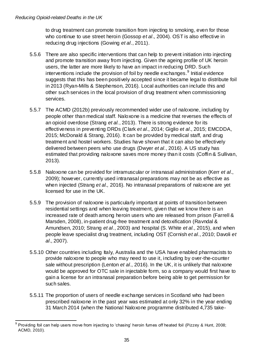to drug treatment can promote transition from injecting to smoking, even for those who continue to use street heroin (Gossop et al., 2004). OST is also effective in reducing drug injections (Gowing *et al.*, 2011).

- 5.5.6 There are also specific interventions that can help to prevent initiation into injecting and promote transition away from injecting. Given the ageing profile of UK heroin users, the latter are more likely to have an impact in reducing DRD. Such interventions include the provision of foil by needle exchanges.<sup>9</sup> Initial evidence suggests that this has been positively accepted since it became legal to distribute foil in 2013 (Ryan-Mills & Stephenson, 2016). Local authorities can include this and other such services in the local provision of drug treatment when commissioning services.
- 5.5.7 The ACMD (2012b) previously recommended wider use of naloxone, including by people other than medical staff. Naloxone is a medicine that reverses the effects of an opioid overdose (Strang et al., 2013). There is strong evidence for its effectiveness in preventing DRDs (Clark et al., 2014; Giglio et al., 2015; EMCDDA, 2015; McDonald & Strang, 2016). It can be provided by medical staff, and drug treatment and hostel workers. Studies have shown that it can also be effectively delivered between peers who use drugs (Dwyer et al., 2016). A US study has estimated that providing naloxone saves more money than it costs (Coffin & Sullivan, 2013).
- 5.5.8 Naloxone can be provided for intramuscular or intranasal administration (Kerr et al., 2009); however, currently used intranasal preparations may not be as effective as when injected (Strang et al., 2016). No intranasal preparations of naloxone are yet licensed for use in the UK.
- 5.5.9 The provision of naloxone is particularly important at points of transition between residential settings and when leaving treatment, given that we know there is an increased rate of death among heroin users who are released from prison (Farrell & Marsden, 2008), in-patient drug-free treatment and detoxification (Ravndal & Amundsen, 2010; Strang et al., 2003) and hospital (S. White et al., 2015), and when people leave specialist drug treatment, including OST (Cornish et al., 2010; Davoli et al., 2007).
- 5.5.10 Other countries including Italy, Australia and the USA have enabled pharmacists to provide naloxone to people who may need to use it, including by over-the-counter sale without prescription (Lenton et al., 2016). In the UK, it is unlikely that naloxone would be approved for OTC sale in injectable form, so a company would first have to gain a license for an intranasal preparation before being able to get permission for such sales.
- 5.5.11 The proportion of users of needle exchange services in Scotland who had been prescribed naloxone in the past year was estimated at only 32% in the year ending 31 March 2014 (when the National Naloxone programme distributed 4,735 take-

 $\overline{\phantom{a}}$ 9 Providing foil can help users move from injecting to 'chasing' heroin fumes off heated foil (Pizzey & Hunt, 2008; ACMD, 2010).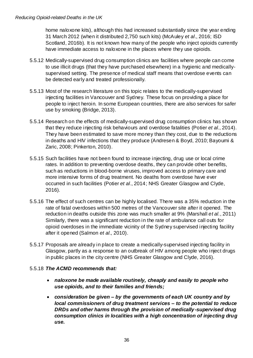home naloxone kits), although this had increased substantially since the year ending 31 March 2012 (when it distributed 2,750 such kits) (McAuley et al., 2016; ISD Scotland, 2016b). It is not known how many of the people who inject opioids currently have immediate access to naloxone in the places where they use opioids.

- 5.5.12 Medically-supervised drug consumption clinics are facilities where people can come to use illicit drugs (that they have purchased elsewhere) in a hygienic and medicallysupervised setting. The presence of medical staff means that overdose events can be detected early and treated professionally.
- 5.5.13 Most of the research literature on this topic relates to the medically-supervised injecting facilities in Vancouver and Sydney. These focus on providing a place for people to inject heroin. In some European countries, there are also services for safer use by smoking (Bridge, 2013).
- 5.5.14 Research on the effects of medically-supervised drug consumption clinics has shown that they reduce injecting risk behaviours and overdose fatalities (Potier et al., 2014). They have been estimated to save more money than they cost, due to the reductions in deaths and HIV infections that they produce (Andresen & Boyd, 2010; Bayoumi & Zaric, 2008; Pinkerton, 2010).
- 5.5.15 Such facilities have not been found to increase injecting, drug use or local crime rates. In addition to preventing overdose deaths, they can provide other benefits, such as reductions in blood-borne viruses, improved access to primary care and more intensive forms of drug treatment. No deaths from overdose have ever occurred in such facilities (Potier et al., 2014; NHS Greater Glasgow and Clyde, 2016).
- 5.5.16 The effect of such centres can be highly localised. There was a 35% reduction in the rate of fatal overdoses within 500 metres of the Vancouver site after it opened. The reduction in deaths outside this zone was much smaller at 9% (Marshall et al., 2011) Similarly, there was a significant reduction in the rate of ambulance call outs for opioid overdoses in the immediate vicinity of the Sydney supervised injecting facility after it opened (Salmon et al., 2010).
- 5.5.17 Proposals are already in place to create a medically-supervised injecting facility in Glasgow, partly as a response to an outbreak of HIV among people who inject drugs in public places in the city centre (NHS Greater Glasgow and Clyde, 2016).

#### <span id="page-38-0"></span>5.5.18 **The ACMD recommends that:**

- **naloxone be made available routinely, cheaply and easily to people who use opioids, and to their families and friends;**
- **consideration be given** *–* **by the governments of each UK country and by local commissioners of drug treatment services** *–* **to the potential to reduce DRDs and other harms through the provision of medically-supervised drug consumption clinics in localities with a high concentration of injecting drug use.**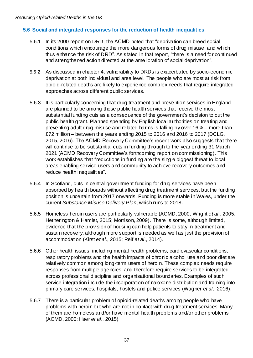#### **5.6 Social and integrated responses for the reduction of health inequalities**

- 5.6.1 In its 2000 report on DRD, the ACMD noted that "deprivation can breed social conditions which encourage the more dangerous forms of drug misuse, and which thus enhance the risk of DRD". As stated in that report, "there is a need for continued and strengthened action directed at the amelioration of social deprivation".
- 5.6.2 As discussed in chapter 4, vulnerability to DRDs is exacerbated by socio-economic deprivation at both individual and area level. The people who are most at risk from opioid-related deaths are likely to experience complex needs that require integrated approaches across different public services.
- 5.6.3 It is particularly concerning that drug treatment and prevention services in England are planned to be among those public health services that receive the most substantial funding cuts as a consequence of the government's decision to cut the public health grant. Planned spending by English local authorities on treating and preventing adult drug misuse and related harms is falling by over 16% – more than £72 million – between the years ending 2015 to 2016 and 2016 to 2017 (DCLG, 2015, 2016). The ACMD Recovery Committee's recent work also suggests that there will continue to be substantial cuts in funding through to the year ending 31 March 2021 (ACMD Recovery Committee's forthcoming report on commissioning). This work establishes that "reductions in funding are the single biggest threat to local areas enabling service users and community to achieve recovery outcomes and reduce health inequalities".
- 5.6.4 In Scotland, cuts in central government funding for drug services have been absorbed by health boards without affecting drug treatment services, but the funding position is uncertain from 2017 onwards. Funding is more stable in Wales, under the current Substance Misuse Delivery Plan, which runs to 2018.
- 5.6.5 Homeless heroin users are particularly vulnerable (ACMD, 2000; Wright et al., 2005; Hetherington & Hamlet, 2015; Morrison, 2009). There is some, although limited, evidence that the provision of housing can help patients to stay in treatment and sustain recovery, although more support is needed as well as just the provision of accommodation (Kirst et al., 2015; Reif et al., 2014).
- 5.6.6 Other health issues, including mental health problems, cardiovascular conditions, respiratory problems and the health impacts of chronic alcohol use and poor diet are relatively common among long-term users of heroin. These complex needs require responses from multiple agencies, and therefore require services to be integrated across professional discipline and organisational boundaries. Examples of such service integration include the incorporation of naloxone distribution and training into primary care services, hospitals, hostels and police services (Wagner et al., 2016).
- 5.6.7 There is a particular problem of opioid-related deaths among people who have problems with heroin but who are not in contact with drug treatment services. Many of them are homeless and/or have mental health problems and/or other problems (ACMD, 2000; Hser et al., 2015).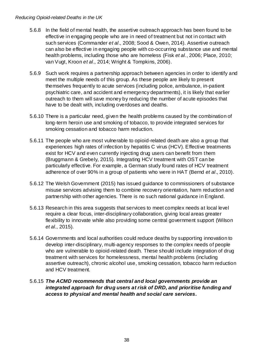- 5.6.8 In the field of mental health, the assertive outreach approach has been found to be effective in engaging people who are in need of treatment but not in contact with such services (Commander et al., 2008; Sood & Owen, 2014). Assertive outreach can also be effective in engaging people with co-occurring substance use and mental health problems, including those who are homeless (Fisk et al., 2006; Place, 2010; van Vugt, Kroon et al., 2014; Wright & Tompkins, 2006).
- 5.6.9 Such work requires a partnership approach between agencies in order to identify and meet the multiple needs of this group. As these people are likely to present themselves frequently to acute services (including police, ambulance, in-patient psychiatric care, and accident and emergency departments), it is likely that earlier outreach to them will save money by reducing the number of acute episodes that have to be dealt with, including overdoses and deaths.
- 5.6.10 There is a particular need, given the health problems caused by the combination of long-term heroin use and smoking of tobacco, to provide integrated services for smoking cessation and tobacco harm reduction.
- 5.6.11 The people who are most vulnerable to opioid-related death are also a group that experiences high rates of infection by hepatitis C virus (HCV). Effective treatments exist for HCV and even currently injecting drug users can benefit from them (Bruggmann & Grebely, 2015). Integrating HCV treatment with OST can be particularly effective. For example, a German study found rates of HCV treatment adherence of over 90% in a group of patients who were in HAT (Bernd et al., 2010).
- 5.6.12 The Welsh Government (2015) has issued guidance to commissioners of substance misuse services advising them to combine recovery orientation, harm reduction and partnership with other agencies. There is no such national guidance in England.
- 5.6.13 Research in this area suggests that services to meet complex needs at local level require a clear focus, inter-disciplinary collaboration, giving local areas greater flexibility to innovate while also providing some central government support (Wilson et al., 2015).
- 5.6.14 Governments and local authorities could reduce deaths by supporting innovation to develop inter-disciplinary, multi-agency responses to the complex needs of people who are vulnerable to opioid-related death. These should include integration of drug treatment with services for homelessness, mental health problems (including assertive outreach), chronic alcohol use, smoking cessation, tobacco harm reduction and HCV treatment.

#### <span id="page-40-0"></span>5.6.15 **The ACMD recommends that central and local governments provide an integrated approach for drug users at risk of DRD, and prioritise funding and access to physical and mental health and social care services.**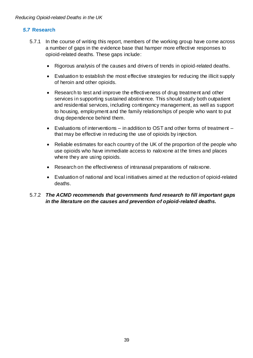#### **5.7 Research**

- 5.7.1 In the course of writing this report, members of the working group have come across a number of gaps in the evidence base that hamper more effective responses to opioid-related deaths. These gaps include:
	- Rigorous analysis of the causes and drivers of trends in opioid-related deaths.
	- Evaluation to establish the most effective strategies for reducing the illicit supply of heroin and other opioids.
	- Research to test and improve the effectiveness of drug treatment and other services in supporting sustained abstinence. This should study both outpatient and residential services, including contingency management, as well as support to housing, employment and the family relationships of people who want to put drug dependence behind them.
	- Evaluations of interventions in addition to OST and other forms of treatment that may be effective in reducing the use of opioids by injection.
	- Reliable estimates for each country of the UK of the proportion of the people who use opioids who have immediate access to naloxone at the times and places where they are using opioids.
	- Research on the effectiveness of intranasal preparations of naloxone.
	- Evaluation of national and local initiatives aimed at the reduction of opioid-related deaths.

#### <span id="page-41-0"></span>5.7.2 **The ACMD recommends that governments fund research to fill important gaps in the literature on the causes and prevention of opioid-related deaths.**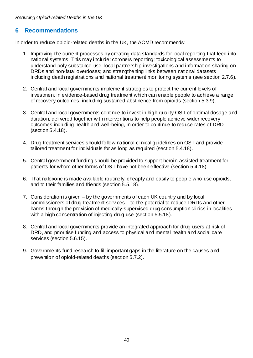#### <span id="page-42-0"></span>**6 Recommendations**

In order to reduce opioid-related deaths in the UK, the ACMD recommends:

- 1. Improving the current processes by creating data standards for local reporting that feed into national systems. This may include: coroners reporting; toxicological assessments to understand poly-substance use; local partnership investigations and information sharing on DRDs and non-fatal overdoses; and strengthening links between national datasets including death registrations and national treatment monitoring systems (see section [2.7.6\)](#page-14-0).
- 2. Central and local governments implement strategies to protect the current levels of investment in evidence-based drug treatment which can enable people to achieve a range of recovery outcomes, including sustained abstinence from opioids (section [5.3.9\)](#page-34-0).
- 3. Central and local governments continue to invest in high-quality OST of optimal dosage and duration, delivered together with interventions to help people achieve wider recovery outcomes including health and well-being, in order to continue to reduce rates of DRD (section [5.4.18\)](#page-36-0).
- 4. Drug treatment services should follow national clinical guidelines on OST and provide tailored treatment for individuals for as long as required (section [5.4.18\)](#page-36-0).
- 5. Central government funding should be provided to support heroin-assisted treatment for patients for whom other forms of OST have not been effective (section [5.4.18\)](#page-36-0).
- 6. That naloxone is made available routinely, cheaply and easily to people who use opioids, and to their families and friends (section [5.5.18\)](#page-38-0).
- 7. Consideration is given by the governments of each UK country and by local commissioners of drug treatment services – to the potential to reduce DRDs and other harms through the provision of medically-supervised drug consumption clinics in localities with a high concentration of injecting drug use (section [5.5.18\)](#page-38-0).
- 8. Central and local governments provide an integrated approach for drug users at risk of DRD, and prioritise funding and access to physical and mental health and social care services (section [5.6.15\)](#page-40-0).
- 9. Governments fund research to fill important gaps in the literature on the causes and prevention of opioid-related deaths (section [5.7.2\)](#page-41-0).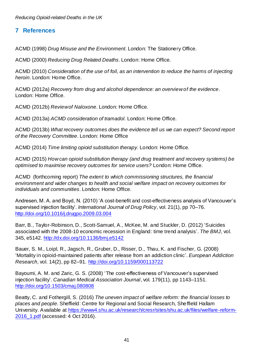# <span id="page-43-0"></span>**7 References**

ACMD (1998) Drug Misuse and the Environment. London: The Stationery Office.

ACMD (2000) Reducing Drug Related Deaths. London: Home Office.

ACMD (2010) Consideration of the use of foil, as an intervention to reduce the harms of injecting heroin. London: Home Office.

ACMD (2012a) Recovery from drug and alcohol dependence: an overview of the evidence. London: Home Office.

ACMD (2012b) Review of Naloxone. London: Home Office.

ACMD (2013a) ACMD consideration of tramadol. London: Home Office.

ACMD (2013b) What recovery outcomes does the evidence tell us we can expect? Second report of the Recovery Committee. London: Home Office

ACMD (2014) Time limiting opioid substitution therapy. London: Home Office.

ACMD (2015) How can opioid substitution therapy (and drug treatment and recovery systems) be optimised to maximise recovery outcomes for service users? London: Home Office.

ACMD (forthcoming report) The extent to which commissioning structures, the financial environment and wider changes to health and social welfare impact on recovery outcomes for individuals and communities. London: Home Office.

Andresen, M. A. and Boyd, N. (2010) 'A cost-benefit and cost-effectiveness analysis of Vancouver's supervised injection facility'. International Journal of Drug Policy, vol. 21(1), pp 70–76. <http://doi.org/10.1016/j.drugpo.2009.03.004>

Barr, B., Taylor-Robinson, D., Scott-Samuel, A., McKee, M. and Stuckler, D. (2012) 'Suicides associated with the 2008-10 economic recession in England: time trend analysis'. The BMJ, vol. 345, e5142.<http://dx.doi.org/10.1136/bmj.e5142>

Bauer, S. M., Loipl, R., Jagsch, R., Gruber, D., Risser, D., Thau, K. and Fischer, G. (2008) 'Mortality in opioid-maintained patients after release from an addiction clinic'. European Addiction Research, vol. 14(2), pp 82–91.<http://doi.org/10.1159/000113722>

Bayoumi, A. M. and Zaric, G. S. (2008) 'The cost-effectiveness of Vancouver's supervised injection facility'. Canadian Medical Association Journal, vol. 179(11), pp 1143–1151. <http://doi.org/10.1503/cmaj.080808>

Beatty, C. and Fothergill, S. (2016) The uneven impact of welfare reform: the financial losses to places and people. Sheffield: Centre for Regional and Social Research, Sheffield Hallam University. Available at [https://www4.shu.ac.uk/research/cresr/sites/shu.ac.uk/files/welfare-reform-](https://www4.shu.ac.uk/research/cresr/sites/shu.ac.uk/files/welfare-reform-2016_1.pdf)[2016\\_1.pdf](https://www4.shu.ac.uk/research/cresr/sites/shu.ac.uk/files/welfare-reform-2016_1.pdf) (accessed: 4 Oct 2016).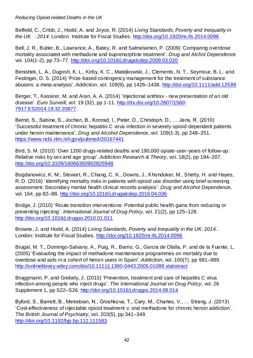Belfield, C., Cribb, J., Hodd, A. and Joyce, R. (2014) Living Standards, Poverty and Inequality in the UK : 2014. London: Institute for Fiscal Studies.<http://doi.org/10.1920/re.ifs.2014.0096>

Bell, J. R., Butler, B., Lawrance, A., Batey, R. and Salmelainen, P. (2009) 'Comparing overdose mortality associated with methadone and buprenorphine treatment'. Drug and Alchol Dependence vol. 104(1-2), pp 73–77.<http://doi.org/10.1016/j.drugalcdep.2009.03.020>

Benishek, L. A., Dugosh, K. L., Kirby, K. C., Matejkowski, J., Clements, N. T., Seymour, B. L. and Festinger, D. S. (2014) 'Prize-based contingency management for the treatment of substance abusers: a meta-analysis'. Addiction, vol. 109(9), pp 1426–1436.<http://doi.org/10.1111/add.12589>

Berger, T., Kassirer, M. and Aran, A. A. (2014) 'Injectional anthrax - new presentation of an old disease'. Euro Surveill, vol. 19 (32), pp 1-11. [http://dx.doi.org/10.2807/1560-](http://dx.doi.org/10.2807/1560-7917.ES2014.19.32.20877) [7917.ES2014.19.32.20877.](http://dx.doi.org/10.2807/1560-7917.ES2014.19.32.20877)

Bernd, S., Sabine, S., Jochen, B., Konrad, I., Peter, D., Christoph, D., … Jens, R. (2010) 'Successful treatment of chronic hepatitis C virus infection in severely opioid-dependent patients under heroin maintenance'. Drug and Alcohol Dependence, vol. 109(1-3), pp 248–251. <https://www.ncbi.nlm.nih.gov/pubmed/20167441>

Bird, S. M. (2010) 'Over 1200 drugs-related deaths and 190,000 opiate-user-years of follow-up: Relative risks by sex and age group'. Addiction Research & Theory, vol. 18(2), pp 194–207. <http://doi.org/10.3109/16066350902825948>

Bogdanowicz, K. M., Stewart, R., Chang, C. K., Downs, J., Khondoker, M., Shetty, H. and Hayes, R. D. (2016) 'Identifying mortality risks in patients with opioid use disorder using brief screening assessment: Secondary mental health clinical records analysis'. Drug and Alcohol Dependence, vol. 164, pp 82–88.<http://doi.org/10.1016/j.drugalcdep.2016.04.036>

Bridge, J. (2010) 'Route transition interventions: Potential public health gains from reducing or preventing injecting'. International Journal of Drug Policy, vol. 21(2), pp 125–128. <http://doi.org/10.1016/j.drugpo.2010.01.011>

Browne, J. and Hodd, A. (2014) Living Standards, Poverty and Inequality in the UK: 2014.. London: Institute for Fiscal Studies.<http://doi.org/10.1920/re.ifs.2014.0096>

Brugal, M. T., Domingo-Salvany, A., Puig, R., Barrio, G., Garcia de Olalla, P. and de la Fuente, L. (2005) 'Evaluating the impact of methadone maintenance programmes on mortality due to overdose and aids in a cohort of heroin users in Spain'. Addiction, vol. 100(7), pp 981–989. <http://onlinelibrary.wiley.com/doi/10.1111/j.1360-0443.2005.01089.x/abstract>

Bruggmann, P. and Grebely, J. (2015) 'Prevention, treatment and care of hepatitis C virus infection among people who inject drugs'. The International Journal on Drug Policy, vol. 26 Supplement 1, pp S22–S26.<http://doi.org/10.1016/j.drugpo.2014.08.014>

Byford, S., Barrett, B., Metrebian, N., Groshkova, T., Cary, M., Charles, V., … Strang, J. (2013) 'Cost-effectiveness of injectable opioid treatment v. oral methadone for chronic heroin addiction'. The British Journal of Psychiatry, vol. 203(5), pp 341–349. <http://doi.org/10.1192/bjp.bp.112.111583>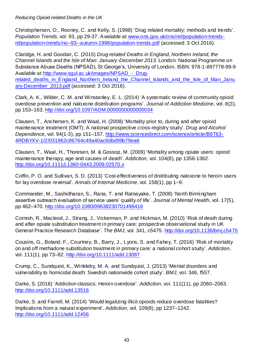Christophersen, O., Rooney, C. and Kelly, S. (1998) 'Drug related mortality: methods and trends'. Population Trends, vol. 93, pp 29-37. Available at [www.ons.gov.uk/ons/rel/population-trends](http://www.ons.gov.uk/ons/rel/population-trends-rd/population-trends/no--93--autumn-1998/population-trends.pdf)[rd/population-trends/no--93--autumn-1998/population-trends.pdf](http://www.ons.gov.uk/ons/rel/population-trends-rd/population-trends/no--93--autumn-1998/population-trends.pdf) (accessed: 3 Oct 2016).

Claridge, H. and Goodair, C. (2015) Drug-related Deaths in England, Northern Ireland, the Channel Islands and the Isle of Man: January-December 2013. London: National Programme on Substance Abuse Deaths (NPSAD), St George's, University of London. ISBN: 978-1-897778-99-9 Available at http://www.squl.ac.uk/images/NPSAD - Drugrelated deaths in England Northern Ireland the Channel Islands and the Isle of Man Janu [ary-December\\_2013.pdf](http://www.sgul.ac.uk/images/NPSAD_-_Drug-related_deaths_in_England_Northern_Ireland_the_Channel_Islands_and_the_Isle_of_Man_January-December_2013.pdf) (accessed: 3 Oct 2016).

Clark, A. K., Wilder, C. M. and Winstanley, E. L. (2014) 'A systematic review of community opioid overdose prevention and naloxone distribution programs'. Journal of Addiction Medicine, vol. 8(3), pp 153–163.<http://doi.org/10.1097/ADM.0000000000000034>

Clausen, T., Anchersen, K. and Waal, H. (2008) 'Mortality prior to, during and after opioid maintenance treatment (OMT): A national prospective cross-registry study'. Drug and Alcohol Dependence, vol. 94(1-3), pp 151–157. [http://www.sciencedirect.com/science/article/B6T63-](http://www.sciencedirect.com/science/article/B6T63-4RDBYXV-1/2/031962c86764c49a40ac6dbd99b79ea6) [4RDBYXV-1/2/031962c86764c49a40ac6dbd99b79ea6](http://www.sciencedirect.com/science/article/B6T63-4RDBYXV-1/2/031962c86764c49a40ac6dbd99b79ea6)

Clausen, T., Waal, H., Thoresen, M. & Gossop, M. (2009) 'Mortality among opiate users: opioid maintenance therapy, age and causes of death'. Addiction, vol. 104(8), pp 1356-1362. <http://doi.org/10.1111/j.1360-0443.2009.02570.x>

Coffin, P. O. and Sullivan, S. D. (2013) 'Cost-effectiveness of distributing naloxone to heroin users for lay overdose reversal'. Annals of Internal Medicine, vol. 158(1), pp 1–9.

Commander, M., Sashidharan, S., Rana, T. and Ratnayake, T. (2008) 'North Birmingham assertive outreach evaluation of service users' quality of life'. Journal of Mental Health, vol. 17(5), pp 462–470.<http://doi.org/10.1080/09638230701498416>

Cornish, R., Macleod, J., Strang, J., Vickerman, P. and Hickman, M. (2010) 'Risk of death during and after opiate substitution treatment in primary care: prospective observational study in UK General Practice Research Database'. The BMJ, vol. 341, c5475.<http://doi.org/10.1136/bmj.c5475>

Cousins, G., Boland, F., Courtney, B., Barry, J., Lyons, S. and Fahey, T. (2016) 'Risk of mortality on and off methadone substitution treatment in primary care: a national cohort study'. Addiction, vol. 111(1), pp 73–82.<http://doi.org/10.1111/add.13087>

Crump, C., Sundquist, K., Winkleby, M. A. and Sundquist, J. (2013) 'Mental disorders and vulnerability to homicidal death: Swedish nationwide cohort study'. BMJ, vol. 346, f557.

Darke, S. (2016) 'Addiction classics: Heroin overdose'. Addiction, vol. 111(11), pp 2060–2063. <http://doi.org/10.1111/add.13516>

Darke, S. and Farrell, M. (2014) 'Would legalizing illicit opioids reduce overdose fatalities? Implications from a natural experiment'. Addiction, vol. 109(8), pp 1237–1242. <http://doi.org/10.1111/add.12456>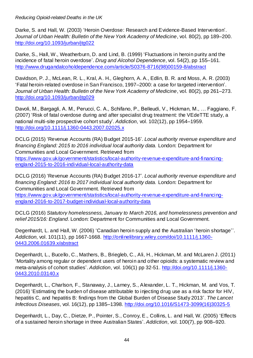Darke, S. and Hall, W. (2003) 'Heroin Overdose: Research and Evidence-Based Intervention'. Journal of Urban Health: Bulletin of the New York Academy of Medicine, vol. 80(2), pp 189–200. <http://doi.org/10.1093/jurban/jtg022>

Darke, S., Hall, W., Weatherburn, D. and Lind, B. (1999) 'Fluctuations in heroin purity and the incidence of fatal heroin overdose'. Drug and Alcohol Dependence, vol. 54(2), pp 155–161. [http://www.drugandalcoholdependence.com/article/S0376-8716\(98\)00159-8/abstract](http://www.drugandalcoholdependence.com/article/S0376-8716(98)00159-8/abstract)

Davidson, P. J., McLean, R. L., Kral, A. H., Gleghorn, A. A., Edlin, B. R. and Moss, A. R. (2003) 'Fatal heroin-related overdose in San Francisco, 1997–2000: a case for targeted intervention'. Journal of Urban Health: Bulletin of the New York Academy of Medicine, vol. 80(2), pp 261–273. <http://doi.org/10.1093/jurban/jtg029>

Davoli, M., Bargagli, A. M., Perucci, C. A., Schifano, P., Belleudi, V., Hickman, M., … Faggiano, F. (2007) 'Risk of fatal overdose during and after specialist drug treatment: the VEdeTTE study, a national multi-site prospective cohort study'. Addiction, vol. 102(12), pp 1954–1959. <http://doi.org/10.1111/j.1360-0443.2007.02025.x>

DCLG (2015) 'Revenue Accounts (RA) Budget 2015-16'. Local authority revenue expenditure and financing England: 2015 to 2016 individual local authority data. London: Department for Communities and Local Government. Retrieved from [https://www.gov.uk/government/statistics/local-authority-revenue-expenditure-and-financing](https://www.gov.uk/government/statistics/local-authority-revenue-expenditure-and-financing-england-2015-to-2016-individual-local-authority-data)[england-2015-to-2016-individual-local-authority-data](https://www.gov.uk/government/statistics/local-authority-revenue-expenditure-and-financing-england-2015-to-2016-individual-local-authority-data)

DCLG (2016) 'Revenue Accounts (RA) Budget 2016-17'. Local authority revenue expenditure and financing England: 2016 to 2017 individual local authority data. London: Department for Communities and Local Government. Retrieved from [https://www.gov.uk/government/statistics/local-authority-revenue-expenditure-and-financing](https://www.gov.uk/government/statistics/local-authority-revenue-expenditure-and-financing-england-2016-to-2017-budget-individual-local-authority-data)[england-2016-to-2017-budget-individual-local-authority-data](https://www.gov.uk/government/statistics/local-authority-revenue-expenditure-and-financing-england-2016-to-2017-budget-individual-local-authority-data)

DCLG (2016) Statutory homelessness, January to March 2016, and homelessness prevention and relief 2015/16: England. London: Department for Communities and Local Government.

Degenhardt, L. and Hall, W. (2006) 'Canadian heroin supply and the Australian 'heroin shortage''. Addiction, vol. 101(11), pp 1667-1668. [http://onlinelibrary.wiley.com/doi/10.1111/j.1360-](http://onlinelibrary.wiley.com/doi/10.1111/j.1360-0443.2006.01639.x/abstract) [0443.2006.01639.x/abstract](http://onlinelibrary.wiley.com/doi/10.1111/j.1360-0443.2006.01639.x/abstract)

Degenhardt, L., Bucello, C., Mathers, B., Briegleb, C., Ali, H., Hickman, M. and McLaren J. (2011) 'Mortality among regular or dependent users of heroin and other opioids: a systematic review and meta-analysis of cohort studies'. Addiction, vol. 106(1) pp 32-51. [http://doi.org/10.1111/j.1360-](http://doi.org/10.1111/j.1360-0443.2010.03140.x) [0443.2010.03140.x](http://doi.org/10.1111/j.1360-0443.2010.03140.x)

Degenhardt, L., Charlson, F., Stanaway, J., Larney, S., Alexander, L. T., Hickman, M. and Vos, T. (2016) 'Estimating the burden of disease attributable to injecting drug use as a risk factor for HIV, hepatitis C, and hepatitis B: findings from the Global Burden of Disease Study 2013'. The Lancet Infectious Diseases, vol. 16(12), pp 1385–1398. [http://doi.org/10.1016/S1473-3099\(16\)30325-5](http://doi.org/10.1016/S1473-3099(16)30325-5)

Degenhardt, L., Day, C., Dietze, P., Pointer, S., Conroy, E., Collins, L. and Hall, W. (2005) 'Effects of a sustained heroin shortage in three Australian States'. Addiction, vol. 100(7), pp 908–920.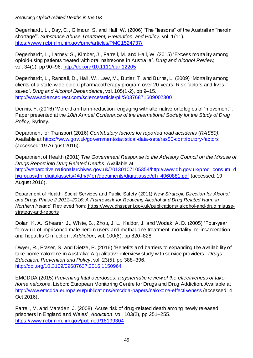Degenhardt, L., Day, C., Gilmour, S. and Hall, W. (2006) 'The "lessons" of the Australian "heroin shortage"'. Substance Abuse Treatment, Prevention, and Policy, vol. 1(11). <https://www.ncbi.nlm.nih.gov/pmc/articles/PMC1524737/>

Degenhardt, L., Larney, S., Kimber, J., Farrell, M. and Hall, W. (2015) 'Excess mortality among opioid-using patients treated with oral naltrexone in Australia'. Drug and Alcohol Review, vol. 34(1), pp 90–96.<http://doi.org/10.1111/dar.12205>

Degenhardt, L., Randall, D., Hall, W., Law, M., Butler, T. and Burns, L. (2009) 'Mortality among clients of a state-wide opioid pharmacotherapy program over 20 years: Risk factors and lives saved'. Drug and Alcohol Dependence, vol. 105(1-2), pp 9–15. <http://www.sciencedirect.com/science/article/pii/S0376871609002300>

Dennis, F. (2016) 'More-than-harm-reduction: engaging with alternative ontologies of "movement"'. Paper presented at the 10th Annual Conference of the International Society for the Study of Drug Policy, Sydney.

Department for Transport (2016) Contributory factors for reported road accidents (RAS50). Available at<https://www.gov.uk/government/statistical-data-sets/ras50-contributory-factors> (accessed: 19 August 2016).

Department of Health (2001) The Government Response to the Advisory Council on the Misuse of Drugs Report into Drug Related Deaths. Available at [http://webarchive.nationalarchives.gov.uk/20130107105354/http://www.dh.gov.uk/prod\\_consum\\_d](http://webarchive.nationalarchives.gov.uk/20130107105354/http:/www.dh.gov.uk/prod_consum_dh/groups/dh_digitalassets/@dh/@en/documents/digitalasset/dh_4060881.pdf) [h/groups/dh\\_digitalassets/@dh/@en/documents/digitalasset/dh\\_4060881.pdf](http://webarchive.nationalarchives.gov.uk/20130107105354/http:/www.dh.gov.uk/prod_consum_dh/groups/dh_digitalassets/@dh/@en/documents/digitalasset/dh_4060881.pdf) (accessed: 19 August 2016).

Department of Health, Social Services and Public Safety (2011) New Strategic Direction for Alcohol and Drugs Phase 2 2011*–*2016: A Framework for Reducing Alcohol and Drug Related Harm in Northern Ireland. Retrieved from: https://www.dhsspsni.gov.uk/publications/ alcohol-and-drug misusestrategy-and-reports

Dolan, K. A., Shearer, J., White, B., Zhou, J. L., Kaldor, J. and Wodak, A. D. (2005) 'Four-year follow-up of imprisoned male heroin users and methadone treatment: mortality, re-incarceration and hepatitis C infection'. Addiction, vol. 100(6), pp 820–828.

Dwyer, R., Fraser, S. and Dietze, P. (2016) 'Benefits and barriers to expanding the availability of take-home naloxone in Australia: A qualitative interview study with service providers'. Drugs: Education, Prevention and Policy, vol. 23(5), pp 388–396. <http://doi.org/10.3109/09687637.2016.1150964>

EMCDDA (2015) Preventing fatal overdoses: a systematic review of the effectiveness of takehome naloxone. Lisbon: European Monitoring Centre for Drugs and Drug Addiction. Available at <http://www.emcdda.europa.eu/publications/emcdda-papers/naloxone-effectiveness> (accessed: 4 Oct 2016).

Farrell, M. and Marsden, J. (2008) 'Acute risk of drug-related death among newly released prisoners in England and Wales'. Addiction, vol. 103(2), pp 251–255. <https://www.ncbi.nlm.nih.gov/pubmed/18199304>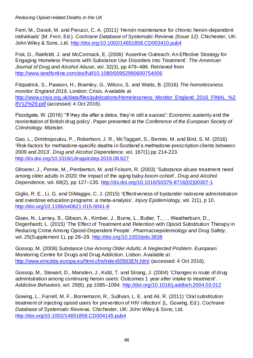Ferri, M., Davoli, M. and Perucci, C. A. (2011) 'Heroin maintenance for chronic heroin-dependent individuals' (M. Ferri, Ed.). Cochrane Database of Systematic Reviews (Issue 12). Chichester, UK: John Wiley & Sons, Ltd.<http://doi.org/10.1002/14651858.CD003410.pub4>

Fisk, D., Rakfeldt, J. and McCormack, E. (2006) 'Assertive Outreach: An Effective Strategy for Engaging Homeless Persons with Substance Use Disorders into Treatment'. The American Journal of Drug and Alcohol Abuse, vol. 32(3), pp 479–486. Retrieved from <http://www.tandfonline.com/doi/full/10.1080/00952990600754006>

Fitzpatrick, S., Pawson, H., Bramley, G., Wilcox, S. and Watts, B. (2016) The homelessness monitor: England 2016. London: Crisis. Available at [http://www.crisis.org.uk/data/files/publications/Homelessness\\_Monitor\\_England\\_2016\\_FINAL\\_%2](http://www.crisis.org.uk/data/files/publications/Homelessness_Monitor_England_2016_FINAL_%28V12%29.pdf) [8V12%29.pdf](http://www.crisis.org.uk/data/files/publications/Homelessness_Monitor_England_2016_FINAL_%28V12%29.pdf) (accessed: 4 Oct 2016).

Floodgate, W. (2016) '"If they die after a detox, they're still a succes": Economic austerity and the reorientation of British drug policy'. Paper presented at the Conference of the European Society of Criminology. Münster.

Gao, L., Dimitropoulou, P., Robertson, J. R., McTaggart, S., Bennie, M. and Bird, S. M. (2016) 'Risk-factors for methadone-specific deaths in Scotland's methadone-prescription clients between 2009 and 2013'. Drug and Alcohol Dependence, vol. 167(1) pp 214-223. <http://dx.doi.org/10.1016/j.drugalcdep.2016.08.627>

Gfroerer, J., Penne, M., Pemberton, M. and Folsom, R. (2003) 'Substance abuse treatment need among older adults in 2020: the impact of the aging baby-boom cohort'. Drug and Alcohol Dependence, vol. 69(2), pp 127–135. [http://dx.doi.org/10.1016/S0376-8716\(02\)00307-1](http://dx.doi.org/10.1016/S0376-8716(02)00307-1)

Giglio, R. E., Li, G. and DiMaggio, C. J. (2015) 'Effectiveness of bystander naloxone administration and overdose education programs: a meta-analysis'. Injury Epidemiology, vol. 2(1), p 10. <http://doi.org/10.1186/s40621-015-0041-8>

Gisev, N., Larney, S., Gibson, A., Kimber, J., Burns, L., Butler, T., … Weatherburn, D., Degenhardt, L. (2015) 'The Effect of Treatment and Retention with Opioid Substitution Therapy in Reducing Crime Among Opioid-Dependent People'. Pharmacoepidemiology and Drug Safety, vol. 25(Supplement 1), pp 28–29.<http://doi.org/10.1002/pds.3838>

Gossop, M. (2008) Substance Use Among Older Adults: A Neglected Problem. European Monitoring Centre for Drugs and Drug Addiction. Lisbon. Available at <http://www.emcdda.europa.eu/html.cfm/index50563EN.html> (accessed: 4 Oct 2016).

Gossop, M., Stewart, D., Marsden, J., Kidd, T. and Strang, J. (2004) 'Changes in route of drug administration among continuing heroin users: Outcomes 1 year after intake to treatment'. Addictive Behaviors, vol. 29(6), pp 1085–1094.<http://doi.org/10.1016/j.addbeh.2004.03.012>

Gowing, L., Farrell, M. F., Bornemann, R., Sullivan, L. E. and Ali, R. (2011) 'Oral substitution treatment of injecting opioid users for prevention of HIV infection' (L. Gowing, Ed.). Cochrane Database of Systematic Reviews. Chichester, UK: John Wiley & Sons, Ltd. <http://doi.org/10.1002/14651858.CD004145.pub4>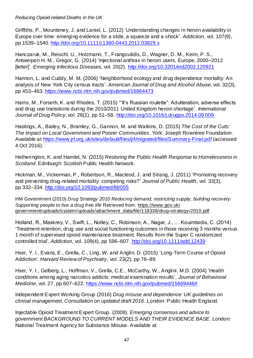Griffiths, P., Mounteney, J. and Laniel, L. (2012) 'Understanding changes in heroin availability in Europe over time: emerging evidence for a slide, a squeeze and a shock'. Addiction, vol. 107(9), pp 1539–1540.<http://doi.org/10.1111/j.1360-0443.2012.03829.x>

Hanczaruk, M., Reischl, U., Holzmann, T., Frangoulidis, D., Wagner, D. M., Keim, P. S., Antwerpen H. M., Gregor, G. (2014) 'Injectional anthrax in heroin users, Europe, 2000–2012 [letter]'. Emerging Infectious Diseases, vol. 20(2). <http://doi.org/10.3201/eid2002.120921>

Hannon, L. and Cuddy, M. M. (2006) 'Neighborhood ecology and drug dependence mortality: An analysis of New York City census tracts'. American Journal of Drug and Alcohol Abuse, vol. 32(3), pp 453–463.<https://www.ncbi.nlm.nih.gov/pubmed/16864473>

Harris, M., Forseth, K. and Rhodes, T. (2015) "It's Russian roulette": Adulteration, adverse effects and drug use transitions during the 2010/2011 United Kingdom heroin shortage'. International Journal of Drug Policy, vol. 26(1), pp 51–58.<http://doi.org/10.1016/j.drugpo.2014.09.009>

Hastings, A., Bailey, N., Bramley, G., Gannon, M. and Watkins, D. (2015) The Cost of the Cuts: The Impact on Local Government and Poorer Communities. York: Joseph Rowntree Foundation. Available at<https://www.jrf.org.uk/sites/default/files/jrf/migrated/files/Summary-Final.pdf> (accessed 4 Oct 2016).

Hetherington, K. and Hamlet, N. (2015) Restoring the Public Health Response to Homelessness in Scotland. Edinburgh: Scottish Public Health Network.

Hickman, M., Vickerman, P., Robertson, R., Macleod, J. and Strang, J. (2011) 'Promoting recovery and preventing drug-related mortality: competing risks?' Journal of Public Health, vol. 33(3), pp 332–334.<http://doi.org/10.1093/pubmed/fdr055>

HM Government (2010) Drug Strategy 2010 Reducing demand, restricting supply, building recovery: Supporting people to live a drug free life Retrieved from: https://www.gov.uk/ government/uploads/system/uploads/attachment\_data/file/118336/drug**-**strategy**-**2010.pdf

Holland, R., Maskrey, V., Swift, L., Notley, C., Robinson, A., Nagar, J., … Kouimtsidis, C. (2014) 'Treatment retention, drug use and social functioning outcomes in those receiving 3 months versus 1 month of supervised opioid maintenance treatment. Results from the Super C randomized controlled trial'. Addiction, vol. 109(4), pp 596–607.<http://doi.org/10.1111/add.12439>

Hser, Y. I., Evans, E., Grella, C., Ling, W. and Anglin, D. (2015) 'Long-Term Course of Opioid Addiction'. Harvard Review of Psychiatry, vol. 23(2), pp 76–89.

Hser, Y. I., Gelberg, L., Hoffman, V., Grella, C.E., McCarthy, W., Anglini, M.D. (2004) 'Health conditions among aging narcotics addicts: medical examination results'. Journal of Behavioral Medicine, vol. 27, pp 607–622. [https://www.ncbi.nlm.nih.gov/pubmed/15669446#](https://www.ncbi.nlm.nih.gov/pubmed/15669446)

Independent Expert Working Group (2016) Drug misuse and dependence: UK guidelines on clinical management. Consultation on updated draft 2016. London: Public Health England.

Injectable Opioid Treatment Expert Group. (2009). Emerging consensus and advice to government BACKGROUND TO CURRENT MODELS AND THEIR EVIDENCE BASE. London: National Treatment Agency for Substance Misuse. Available at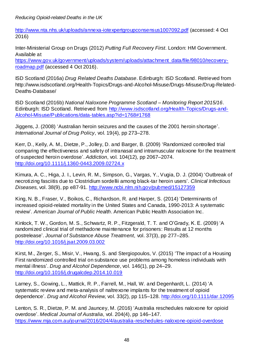<http://www.nta.nhs.uk/uploads/annexa-iotexpertgroupconsensus1007092.pdf> (accessed: 4 Oct 2016)

Inter-Ministerial Group on Drugs (2012) Putting Full Recovery First. London: HM Government. Available at

[https://www.gov.uk/government/uploads/system/uploads/attachment\\_data/file/98010/recovery](https://www.gov.uk/government/uploads/system/uploads/attachment_data/file/98010/recovery-roadmap.pdf)[roadmap.pdf](https://www.gov.uk/government/uploads/system/uploads/attachment_data/file/98010/recovery-roadmap.pdf) (accessed 4 Oct 2016).

ISD Scotland (2016a) Drug Related Deaths Database. Edinburgh: ISD Scotland. Retrieved from http://www.isdscotland.org/Health-Topics/Drugs-and-Alcohol-Misuse/Drugs-Misuse/Drug-Related-Deaths-Database/

ISD Scotland (2016b) National Naloxone Programme Scotland *–* Monitoring Report 2015/16. Edinburgh: ISD Scotland. Retrieved from [http://www.isdscotland.org/Health-Topics/Drugs-and-](http://www.isdscotland.org/Health-Topics/Drugs-and-Alcohol-Misuse/Publications/data-tables.asp?id=1768#1768)[Alcohol-Misuse/Publications/data-tables.asp?id=1768#1768](http://www.isdscotland.org/Health-Topics/Drugs-and-Alcohol-Misuse/Publications/data-tables.asp?id=1768#1768)

Jiggens, J. (2008) 'Australian heroin seizures and the causes of the 2001 heroin shortage'. International Journal of Drug Policy, vol. 19(4), pp 273–278.

Kerr, D., Kelly, A. M., Dietze, P., Jolley, D. and Barger, B. (2009) 'Randomized controlled trial comparing the effectiveness and safety of intranasal and intramuscular naloxone for the treatment of suspected heroin overdose'. Addiction, vol. 104(12), pp 2067–2074. <http://doi.org/10.1111/j.1360-0443.2009.02724.x>

Kimura, A. C., Higa, J. I., Levin, R. M., Simpson, G., Vargas, Y., Vugia, D. J. (2004) 'Outbreak of necrotizing fasciitis due to Clostridium sordellii among black-tar heroin users'. Clinical Infectious Diseases, vol. 38(9), pp e87-91.<http://www.ncbi.nlm.nih.gov/pubmed/15127359>

King, N. B., Fraser, V., Boikos, C., Richardson, R. and Harper, S. (2014) 'Determinants of increased opioid-related mortality in the United States and Canada, 1990-2013: A systematic review'. American Journal of Public Health. American Public Health Association Inc.

Kinlock, T. W., Gordon, M. S., Schwartz, R. P., Fitzgerald, T. T. and O'Grady, K. E. (2009) 'A randomized clinical trial of methadone maintenance for prisoners: Results at 12 months postrelease'. Journal of Substance Abuse Treatment, vol. 37(3), pp 277–285. <http://doi.org/10.1016/j.jsat.2009.03.002>

Kirst, M., Zerger, S., Misir, V., Hwang, S. and Stergiopoulos, V. (2015) 'The impact of a Housing First randomized controlled trial on substance use problems among homeless individuals with mental illness'. Drug and Alcohol Dependence, vol. 146(1), pp 24–29. <http://doi.org/10.1016/j.drugalcdep.2014.10.019>

Larney, S., Gowing, L., Mattick, R. P., Farrell, M., Hall, W. and Degenhardt, L. (2014) 'A systematic review and meta-analysis of naltrexone implants for the treatment of opioid dependence'. Drug and Alcohol Review, vol. 33(2), pp 115–128.<http://doi.org/10.1111/dar.12095>

Lenton, S. R., Dietze, P. M. and Jauncey, M. (2016) 'Australia reschedules naloxone for opioid overdose'. Medical Journal of Australia, vol. 204(4), pp 146–147. <https://www.mja.com.au/journal/2016/204/4/australia-reschedules-naloxone-opioid-overdose>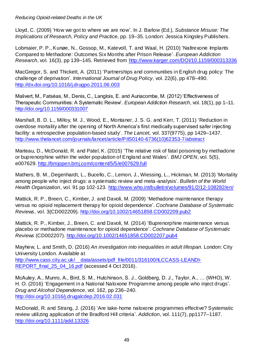Lloyd, C. (2009) 'How we got to where we are now'. In J. Barlow (Ed.), Substance Misuse: The Implications of Research, Policy and Practice, pp. 19–35. London: Jessica Kingsley Publishers.

Lobmaier, P. P., Kunøe, N., Gossop, M., Katevoll, T. and Waal, H. (2010) 'Naltrexone Implants Compared to Methadone: Outcomes Six Months after Prison Release'. European Addiction Research, vol. 16(3), pp 139–145. Retrieved from<http://www.karger.com/DOI/10.1159/000313336>

MacGregor, S. and Thickett, A. (2011) 'Partnerships and communities in English drug policy: The challenge of deprivation'. International Journal of Drug Policy, vol. 22(6), pp 478–490. <http://dx.doi.org/10.1016/j.drugpo.2011.06.003>

Malivert, M., Fatséas, M., Denis, C., Langlois, E. and Auriacombe, M. (2012) 'Effectiveness of Therapeutic Communities: A Systematic Review. European Addiction Research, vol. 18(1), pp 1–11. <http://doi.org/10.1159/000331007>

Marshall, B. D. L., Milloy, M. J., Wood, E., Montaner, J. S. G. and Kerr, T. (2011) 'Reduction in overdose mortality after the opening of North America's first medically supervised safer injecting facility: a retrospective population-based study'. The Lancet, vol. 337(9775), pp 1429–1437. [http://www.thelancet.com/journals/lancet/article/PIIS0140-6736\(10\)62353-7/abstract](http://www.thelancet.com/journals/lancet/article/PIIS0140-6736(10)62353-7/abstract)

Marteau, D., McDonald, R. and Patel, K. (2015) 'The relative risk of fatal poisoning by methadone or buprenorphine within the wider population of England and Wales'. BMJ OPEN, vol. 5(5), e007629. <http://bmjopen.bmj.com/content/5/5/e007629.full>

Mathers, B. M., Degenhardt, L., Bucello, C., Lemon, J., Wiessing, L., Hickman, M. (2013) 'Mortality among people who inject drugs: a systematic review and meta-analysis'. Bulletin of the World Health Organization, vol. 91 pp 102-123.<http://www.who.int/bulletin/volumes/91/2/12-108282/en/>

Mattick, R. P., Breen, C., Kimber, J. and Davoli, M. (2009) 'Methadone maintenance therapy versus no opioid replacement therapy for opioid dependence'. Cochrane Database of Systematic Reviews, vol. 3(CD002209).<http://doi.org/10.1002/14651858.CD002209.pub2>

Mattick, R. P., Kimber, J., Breen, C. and Davoli, M. (2014) 'Buprenorphine maintenance versus placebo or methadone maintenance for opioid dependence'. Cochrane Database of Systematic Reviews (CD002207).<http://doi.org/10.1002/14651858.CD002207.pub4>

Mayhew, L. and Smith, D. (2016) An investigation into inequalities in adult lifespan. London: City University London. Available at [http://www.cass.city.ac.uk/\\_\\_data/assets/pdf\\_file/0011/316100/ILCCASS-LEANDI-](http://www.cass.city.ac.uk/__data/assets/pdf_file/0011/316100/ILCCASS-LEANDI-REPORT_final_25_04_16.pdf)[REPORT\\_final\\_25\\_04\\_16.pdf](http://www.cass.city.ac.uk/__data/assets/pdf_file/0011/316100/ILCCASS-LEANDI-REPORT_final_25_04_16.pdf) (accessed 4 Oct 2016).

McAuley, A., Munro, A., Bird, S. M., Hutchinson, S. J., Goldberg, D. J., Taylor, A., … (WHO), W. H. O. (2016) 'Engagement in a National Naloxone Programme among people who inject drugs'. Drug and Alcohol Dependence, vol. 162, pp 236–240. <http://doi.org/10.1016/j.drugalcdep.2016.02.031>

McDonald, R. and Strang, J. (2016) 'Are take‐home naloxone programmes effective? Systematic review utilizing application of the Bradford Hill criteria'. Addiction, vol. 111(7), pp1177–1187. <http://doi.org/10.1111/add.13326>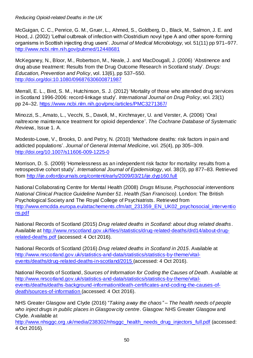McGuigan, C. C., Penrice, G. M., Gruer, L., Ahmed, S., Goldberg, D., Black, M., Salmon, J. E. and Hood, J. (2002) 'Lethal outbreak of infection with Clostridium novyi type A and other spore-forming organisms in Scottish injecting drug users'. Journal of Medical Microbiology, vol. 51(11) pp 971–977. <http://www.ncbi.nlm.nih.gov/pubmed/12448681>

McKeganey, N., Bloor, M., Robertson, M., Neale, J. and MacDougall, J. (2006) 'Abstinence and drug abuse treatment: Results from the Drug Outcome Research in Scotland study'. Drugs: Education, Prevention and Policy, vol. 13(6), pp 537–550. <http://doi.org/doi:10.1080/09687630600871987>

Merrall, E. L., Bird, S. M., Hutchinson, S. J. (2012) 'Mortality of those who attended drug services in Scotland 1996-2006: record-linkage study'. International Journal on Drug Policy, vol. 23(1) pp 24–32.<https://www.ncbi.nlm.nih.gov/pmc/articles/PMC3271367/>

Minozzi, S., Amato, L., Vecchi, S., Davoli, M., Kirchmayer, U. and Verster, A. (2006) 'Oral naltrexone maintenance treatment for opioid dependence'. The Cochrane Database of Systematic Reviews, Issue 1. A.

Modesto-Lowe, V., Brooks, D. and Petry, N. (2010) 'Methadone deaths: risk factors in pain and addicted populations'. Journal of General Internal Medicine, vol. 25(4), pp 305–309. <http://doi.org/10.1007/s11606-009-1225-0>

Morrison, D. S. (2009) 'Homelessness as an independent risk factor for mortality: results from a retrospective cohort study'. International Journal of Epidemiology, vol. 38(3), pp 877–83. Retrieved from<http://ije.oxfordjournals.org/content/early/2009/03/21/ije.dyp160.full>

National Collaborating Centre for Mental Health (2008) Drugs Misuse, Psychosocial interventions National Clinical Practice Guideline Number 51. Health (San Francisco). London: The British Psychological Society and The Royal College of Psychiatrists. Retrieved from [http://www.emcdda.europa.eu/attachements.cfm/att\\_231359\\_EN\\_UK02\\_psychosocial\\_interventio](http://www.emcdda.europa.eu/attachements.cfm/att_231359_EN_UK02_psychosocial_interventions.pdf) [ns.pdf](http://www.emcdda.europa.eu/attachements.cfm/att_231359_EN_UK02_psychosocial_interventions.pdf)

National Records of Scotland (2015) Drug related deaths in Scotland: about drug related deaths. Available at [http://www.nrscotland.gov.uk/files//statistics/drug-related-deaths/drd14/about-drug](http://www.nrscotland.gov.uk/files/statistics/drug-related-deaths/drd14/about-drug-related-deaths.pdf)[related-deaths.pdf](http://www.nrscotland.gov.uk/files/statistics/drug-related-deaths/drd14/about-drug-related-deaths.pdf) (accessed: 4 Oct 2016).

National Records of Scotland (2016) Drug related deaths in Scotland in 2015. Available at [http://www.nrscotland.gov.uk/statistics-and-data/statistics/statistics-by-theme/vital](http://www.nrscotland.gov.uk/statistics-and-data/statistics/statistics-by-theme/vital-events/deaths/drug-related-deaths-in-scotland/2015)[events/deaths/drug-related-deaths-in-scotland/2015](http://www.nrscotland.gov.uk/statistics-and-data/statistics/statistics-by-theme/vital-events/deaths/drug-related-deaths-in-scotland/2015) (accessed: 4 Oct 2016).

National Records of Scotland, Sources of Information for Coding the Causes of Death. Available at [http://www.nrscotland.gov.uk/statistics-and-data/statistics/statistics-by-theme/vital](http://www.nrscotland.gov.uk/statistics-and-data/statistics/statistics-by-theme/vital-events/deaths/deaths-background-information/death-certificates-and-coding-the-causes-of-death/sources-of-information)[events/deaths/deaths-background-information/death-certificates-and-coding-the-causes-of](http://www.nrscotland.gov.uk/statistics-and-data/statistics/statistics-by-theme/vital-events/deaths/deaths-background-information/death-certificates-and-coding-the-causes-of-death/sources-of-information)[death/sources-of-information](http://www.nrscotland.gov.uk/statistics-and-data/statistics/statistics-by-theme/vital-events/deaths/deaths-background-information/death-certificates-and-coding-the-causes-of-death/sources-of-information) (accessed: 4 Oct 2016).

NHS Greater Glasgow and Clyde (2016) "Taking away the chaos*" –* The health needs of people who inject drugs in public places in Glasgow city centre. Glasgow: NHS Greater Glasgow and Clyde. Available at

[http://www.nhsggc.org.uk/media/238302/nhsggc\\_health\\_needs\\_drug\\_injectors\\_full.pdf](http://www.nhsggc.org.uk/media/238302/nhsggc_health_needs_drug_injectors_full.pdf) (accessed: 4 Oct 2016).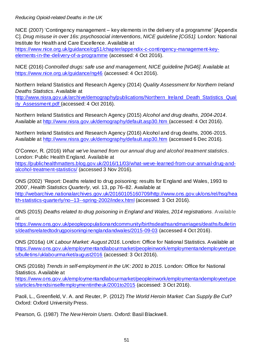NICE (2007) 'Contingency management – key elements in the delivery of a programme' [Appendix C]. Drug misuse in over 16s: psychosocial interventions, NICE guideline [CG51]. London: National Institute for Health and Care Excellence. Available at

[https://www.nice.org.uk/guidance/cg51/chapter/appendix-c-contingency-management-key](https://www.nice.org.uk/guidance/cg51/chapter/appendix-c-contingency-management-key-elements-in-the-delivery-of-a-programme)[elements-in-the-delivery-of-a-programme](https://www.nice.org.uk/guidance/cg51/chapter/appendix-c-contingency-management-key-elements-in-the-delivery-of-a-programme) (accessed: 4 Oct 2016).

NICE (2016) Controlled drugs: safe use and management, NICE guideline [NG46]. Available at <https://www.nice.org.uk/guidance/ng46> (accessed: 4 Oct 2016).

Northern Ireland Statistics and Research Agency (2014) Quality Assessment for Northern Ireland Deaths Statistics. Available at

[http://www.nisra.gov.uk/archive/demography/publications/Northern\\_Ireland\\_Death\\_Statistics\\_Qual](http://www.nisra.gov.uk/archive/demography/publications/Northern_Ireland_Death_Statistics_Quality_Assessment.pdf) [ity\\_Assessment.pdf](http://www.nisra.gov.uk/archive/demography/publications/Northern_Ireland_Death_Statistics_Quality_Assessment.pdf) (accessed: 4 Oct 2016).

Northern Ireland Statistics and Research Agency (2015) Alcohol and drug deaths, 2004-2014. Available at <http://www.nisra.gov.uk/demography/default.asp30.htm> (accessed: 4 Oct 2016).

Northern Ireland Statistics and Research Agency (2016) Alcohol and drug deaths, 2006-2015. Available at<http://www.nisra.gov.uk/demography/default.asp30.htm> (accessed 6 Dec 2016).

O'Connor, R. (2016) What we've learned from our annual drug and alcohol treatment statistics. London: Public Health England. Available at

[https://publichealthmatters.blog.gov.uk/2016/11/03/what-weve-learned-from-our-annual-drug-and](https://publichealthmatters.blog.gov.uk/2016/11/03/what-weve-learned-from-our-annual-drug-and-alcohol-treatment-statistics/)[alcohol-treatment-statistics/](https://publichealthmatters.blog.gov.uk/2016/11/03/what-weve-learned-from-our-annual-drug-and-alcohol-treatment-statistics/) (accessed 3 Nov 2016).

ONS (2002) 'Report: Deaths related to drug poisoning: results for England and Wales, 1993 to 2000', Health Statistics Quarterly, vol. 13, pp 76–82. Available at [http://webarchive.nationalarchives.gov.uk/20160105160709/http://www.ons.gov.uk/ons/rel/hsq/hea](http://webarchive.nationalarchives.gov.uk/20160105160709/http:/www.ons.gov.uk/ons/rel/hsq/health-statistics-quarterly/no--13--spring-2002/index.html) [lth-statistics-quarterly/no--13--spring-2002/index.html](http://webarchive.nationalarchives.gov.uk/20160105160709/http:/www.ons.gov.uk/ons/rel/hsq/health-statistics-quarterly/no--13--spring-2002/index.html) (accessed: 3 Oct 2016).

ONS (2015) Deaths related to drug poisoning in England and Wales, 2014 registrations. Available at

[https://www.ons.gov.uk/peoplepopulationandcommunity/birthsdeathsandmarriages/deaths/bulletin](https://www.ons.gov.uk/peoplepopulationandcommunity/birthsdeathsandmarriages/deaths/bulletins/deathsrelatedtodrugpoisoninginenglandandwales/2015-09-03) [s/deathsrelatedtodrugpoisoninginenglandandwales/2015-09-03](https://www.ons.gov.uk/peoplepopulationandcommunity/birthsdeathsandmarriages/deaths/bulletins/deathsrelatedtodrugpoisoninginenglandandwales/2015-09-03) (accessed 4 Oct 2016).

ONS (2016a) UK Labour Market: August 2016. London: Office for National Statistics. Available at [https://www.ons.gov.uk/employmentandlabourmarket/peopleinwork/employmentandemployeetype](https://www.ons.gov.uk/employmentandlabourmarket/peopleinwork/employmentandemployeetypes/bulletins/uklabourmarket/august2016) [s/bulletins/uklabourmarket/august2016](https://www.ons.gov.uk/employmentandlabourmarket/peopleinwork/employmentandemployeetypes/bulletins/uklabourmarket/august2016) (accessed: 3 Oct 2016).

ONS (2016b) Trends in self-employment in the UK: 2001 to 2015. London: Office for National Statistics. Available at

[https://www.ons.gov.uk/employmentandlabourmarket/peopleinwork/employmentandemployeetype](https://www.ons.gov.uk/employmentandlabourmarket/peopleinwork/employmentandemployeetypes/articles/trendsinselfemploymentintheuk/2001to2015) [s/articles/trendsinselfemploymentintheuk/2001to2015](https://www.ons.gov.uk/employmentandlabourmarket/peopleinwork/employmentandemployeetypes/articles/trendsinselfemploymentintheuk/2001to2015) (accessed: 3 Oct 2016).

Paoli, L., Greenfield, V. A. and Reuter, P. (2012) The World Heroin Market: Can Supply Be Cut? Oxford: Oxford University Press.

Pearson, G. (1987) The New Heroin Users. Oxford: Basil Blackwell.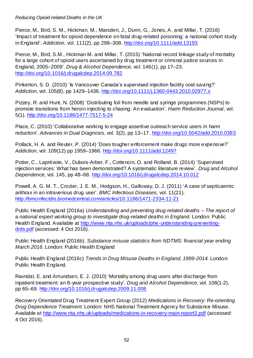Pierce, M., Bird, S. M., Hickman, M., Marsden, J., Dunn, G., Jones, A. and Millar, T. (2016) 'Impact of treatment for opioid dependence on fatal drug-related poisoning: a national cohort study in England'. Addiction, vol. 111(2), pp 298–308.<http://doi.org/10.1111/add.13193>

Pierce, M., Bird, S.M., Hickman M. and Millar, T. (2015) 'National record linkage study of mortality for a large cohort of opioid users ascertained by drug treatment or criminal justice sources in England, 2005–2009'. Drug & Alcohol Dependence, vol. 146(1), pp 17–23. <http://doi.org/10.1016/j.drugalcdep.2014.09.782>

Pinkerton, S. D. (2010) 'Is Vancouver Canada's supervised injection facility cost-saving?' Addiction, vol. 105(8), pp 1429–1436.<http://doi.org/10.1111/j.1360-0443.2010.02977.x>

Pizzey, R. and Hunt, N. (2008) 'Distributing foil from needle and syringe programmes (NSPs) to promote transitions from heroin injecting to chasing: An evaluation'. Harm Reduction Journal, vol. 5(1).<http://doi.org/10.1186/1477-7517-5-24>

Place, C. (2010) 'Collaborative working to engage assertive outreach service users in harm reduction'. Advances in Dual Diagnosis, vol. 3(2), pp 13–17.<http://doi.org/10.5042/add.2010.0383>

Pollack, H. A. and Reuter, P. (2014) 'Does tougher enforcement make drugs more expensive?' Addiction, vol. 109(12) pp 1959–1966.<http://doi.org/10.1111/add.12497>

Potier, C., Laprévote, V., Dubois-Arber, F., Cottencin, O. and Rolland, B. (2014) 'Supervised injection services: What has been demonstrated? A systematic literature review'. Drug and Alcohol Dependence, vol. 145, pp 48–68.<http://doi.org/10.1016/j.drugalcdep.2014.10.012>

Powell, A. G. M. T., Crozier, J. E. M., Hodgson, H., Galloway, D. J. (2011) 'A case of septicaemic anthrax in an intravenous drug user'. BMC Infectious Diseases, vol. 11(21). <http://bmcinfectdis.biomedcentral.com/articles/10.1186/1471-2334-11-21>

Public Health England (2016a) Understanding and preventing drug-related deaths *–* The report of a national expert working group to investigate drug-related deaths in England. London: Public Health England. Available at [http://www.nta.nhs.uk/uploads/phe-understanding-preventing](http://www.nta.nhs.uk/uploads/phe-understanding-preventing-drds.pdf)[drds.pdf](http://www.nta.nhs.uk/uploads/phe-understanding-preventing-drds.pdf) (accessed: 4 Oct 2016).

Public Health England (2016b). Substance misuse statistics from NDTMS: financial year ending March 2016. London: Public Health England

Public Health England (2016c) Trends in Drug Misuse Deaths in England, 1999-2014. London: Public Health England.

Ravndal, E. and Amundsen, E. J. (2010) 'Mortality among drug users after discharge from inpatient treatment: an 8-year prospective study'. Drug and Alcohol Dependence, vol. 108(1-2), pp 65–69.<http://doi.org/10.1016/j.drugalcdep.2009.11.008>

Recovery Orientated Drug Treatment Expert Group (2012) Medications in Recovery: Re-orienting Drug Dependence Treatment. London: NHS National Treatment Agency for Substance Misuse. Available at<http://www.nta.nhs.uk/uploads/medications-in-recovery-main-report3.pdf> (accessed: 4 Oct 2016).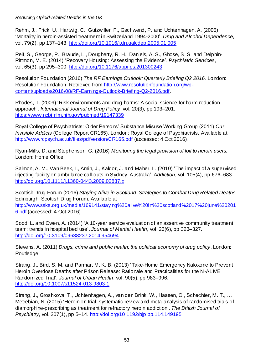Rehm, J., Frick, U., Hartwig, C., Gutzwiller, F., Gschwend, P. and Uchtenhagen, A. (2005) 'Mortality in heroin-assisted treatment in Switzerland 1994-2000'. Drug and Alcohol Dependence, vol. 79(2), pp 137–143.<http://doi.org/10.1016/j.drugalcdep.2005.01.005>

Reif, S., George, P., Braude, L., Dougherty, R. H., Daniels, A. S., Ghose, S. S. and Delphin-Rittmon, M. E. (2014) 'Recovery Housing: Assessing the Evidence'. Psychiatric Services, vol. 65(3), pp 295–300.<http://doi.org/10.1176/appi.ps.201300243>

Resolution Foundation (2016) The RF Earnings Outlook: Quarterly Briefing Q2 2016. London: Resolution Foundation. Retrieved from [http://www.resolutionfoundation.org/wp](http://www.resolutionfoundation.org/wp-content/uploads/2016/08/RF-Earnings-Outlook-Briefing-Q2-2016.pdf)[content/uploads/2016/08/RF-Earnings-Outlook-Briefing-Q2-2016.pdf.](http://www.resolutionfoundation.org/wp-content/uploads/2016/08/RF-Earnings-Outlook-Briefing-Q2-2016.pdf)

Rhodes, T. (2009) 'Risk environments and drug harms: A social science for harm reduction approach'. International Journal of Drug Policy, vol. 20(3), pp 193–201. <https://www.ncbi.nlm.nih.gov/pubmed/19147339>

Royal College of Psychiatrists: Older Persons' Substance Misuse Working Group (2011) Our Invisible Addicts (College Report CR165), London: Royal College of Psychiatrists. Available at <http://www.rcpsych.ac.uk/files/pdfversion/CR165.pdf> (accessed: 4 Oct 2016).

Ryan-Mills, D. and Stephenson, G. (2016) Monitoring the legal provision of foil to heroin users. London: Home Office.

Salmon, A. M., Van Beek, I., Amin, J., Kaldor, J. and Maher, L. (2010) 'The impact of a supervised injecting facility on ambulance call-outs in Sydney, Australia'. Addiction, vol. 105(4), pp 676–683. <http://doi.org/10.1111/j.1360-0443.2009.02837.x>

Scottish Drug Forum (2016) Staying Alive in Scotland. Strategies to Combat Drug Related Deaths Edinburgh: Scottish Drug Forum. Available at [http://www.ssks.org.uk/media/169141/staying%20alive%20in%20scotland%2017%20june%20201](http://www.ssks.org.uk/media/169141/staying%20alive%20in%20scotland%2017%20june%202016.pdf) [6.pdf](http://www.ssks.org.uk/media/169141/staying%20alive%20in%20scotland%2017%20june%202016.pdf) (accessed: 4 Oct 2016).

Sood, L. and Owen, A. (2014) 'A 10-year service evaluation of an assertive community treatment team: trends in hospital bed use'. Journal of Mental Health, vol. 23(6), pp 323–327. <http://doi.org/10.3109/09638237.2014.954694>

Stevens, A. (2011) Drugs, crime and public health: the political economy of drug policy. London: Routledge.

Strang, J., Bird, S. M. and Parmar, M. K. B. (2013) 'Take-Home Emergency Naloxone to Prevent Heroin Overdose Deaths after Prison Release: Rationale and Practicalities for the N-ALIVE Randomized Trial'. Journal of Urban Health, vol. 90(5), pp 983–996. <http://doi.org/10.1007/s11524-013-9803-1>

Strang, J., Groshkova, T., Uchtenhagen, A., van den Brink, W., Haasen, C., Schechter, M. T., … Metrebian, N. (2015) 'Heroin on trial: systematic review and meta-analysis of randomised trials of diamorphine-prescribing as treatment for refractory heroin addiction'. The British Journal of Psychiatry, vol. 207(1), pp 5–14.<http://doi.org/10.1192/bjp.bp.114.149195>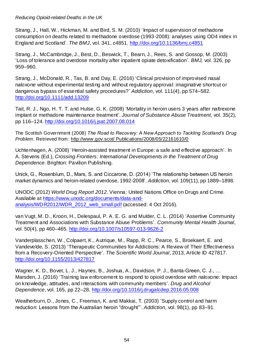Strang, J., Hall, W., Hickman, M. and Bird, S. M. (2010) 'Impact of supervision of methadone consumption on deaths related to methadone overdose (1993-2008): analyses using OD4 index in England and Scotland'. The BMJ, vol. 341, c4851.<http://doi.org/10.1136/bmj.c4851>

Strang, J., McCambridge, J., Best, D., Beswick, T., Bearn, J., Rees, S. and Gossop, M. (2003) 'Loss of tolerance and overdose mortality after inpatient opiate detoxification'. BMJ, vol. 326, pp 959–960.

Strang, J., McDonald, R., Tas, B. and Day, E. (2016) 'Clinical provision of improvised nasal naloxone without experimental testing and without regulatory approval: imaginative shortcut or dangerous bypass of essential safety procedures?' Addiction, vol. 111(4), pp 574–582. <http://doi.org/10.1111/add.13209>

Tait, R. J., Ngo, H. T. T. and Hulse, G. K. (2008) 'Mortality in heroin users 3 years after naltrexone implant or methadone maintenance treatment'. Journal of Substance Abuse Treatment, vol. 35(2), pp 116–124.<http://doi.org/10.1016/j.jsat.2007.08.014>

The Scottish Government (2008) *The Road to Recovery: A New Approach to Tackling Scotland's Drug*  Problem. Retrieved from: http://www.gov.scot/ Publications/2008/05/22161610/0

Uchtenhagen, A. (2008) 'Heroin-assisted treatment in Europe: a safe and effective approach'. In A. Stevens (Ed.), Crossing Frontiers: International Developments in the Treatment of Drug Dependence. Brighton: Pavilion Publishing.

Unick, G., Rosenblum, D., Mars, S. and Ciccarone, D. (2014) 'The relationship between US heroin market dynamics and heroin-related overdose, 1992-2008'. Addiction, vol. 109(11), pp 1889–1898.

UNODC (2012) World Drug Report 2012. Vienna: United Nations Office on Drugs and Crime. Available at [https://www.unodc.org/documents/data-and](https://www.unodc.org/documents/data-and-analysis/WDR2012/WDR_2012_web_small.pdf)[analysis/WDR2012/WDR\\_2012\\_web\\_small.pdf](https://www.unodc.org/documents/data-and-analysis/WDR2012/WDR_2012_web_small.pdf) (accessed: 4 Oct 2016).

van Vugt, M. D., Kroon, H., Delespaul, P. A. E. G. and Mulder, C. L. (2014) 'Assertive Community Treatment and Associations with Substance Abuse Problems'. Community Mental Health Journal, vol. 50(4), pp 460–465.<http://doi.org/10.1007/s10597-013-9626-2>

Vanderplasschen, W., Colpaert, K., Autrique, M., Rapp, R. C., Pearce, S., Broekaert, E. and Vandevelde, S. (2013) 'Therapeutic Communities for Addictions: A Review of Their Effectiveness from a Recovery-Oriented Perspective'. The Scientific World Journal, 2013, Article ID 427817. <http://doi.org/10.1155/2013/427817>

Wagner, K. D., Bovet, L. J., Haynes, B., Joshua, A., Davidson, P. J., Banta-Green, C. J., ... Marsden, J. (2016) 'Training law enforcement to respond to opioid overdose with naloxone: Impact on knowledge, attitudes, and interactions with community members'. Drug and Alcohol Dependence, vol. 165, pp 22–28.<http://doi.org/10.1016/j.drugalcdep.2016.05.008>

Weatherburn, D., Jones, C., Freeman, K. and Makkai, T. (2003) 'Supply control and harm reduction: Lessons from the Australian heroin "drought"'. Addiction, vol. 98(1), pp 83–91.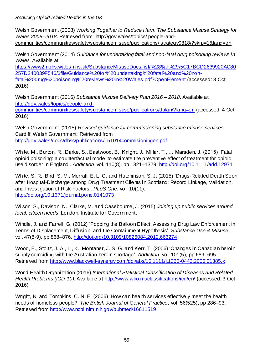Welsh Government (2008) Working Together to Reduce Harm The Substance Misuse Strategy for Wales 2008*–*2018. Retrieved from: http://gov.wales/topics/ people-andcommunities/communities/safety/substancemisuse/publications/ strategy0818/?skip=1&lang=en

Welsh Government (2014) Guidance for undertaking fatal and non-fatal drug poisoning reviews in Wales. Available at

[https://www2.nphs.wales.nhs.uk/SubstanceMisuseDocs.nsf/%28\\$all%29/5C17BCD2639920AC80](https://www2.nphs.wales.nhs.uk/SubstanceMisuseDocs.nsf/%28$all%29/5C17BCD2639920AC80257D240039F546/$file/Guidance%20for%20undertaking%20fatal%20and%20non-fatal%20drug%20poisoning%20reviews%20in%20Wales.pdf?OpenElement) [257D240039F546/\\$file/Guidance%20for%20undertaking%20fatal%20and%20non](https://www2.nphs.wales.nhs.uk/SubstanceMisuseDocs.nsf/%28$all%29/5C17BCD2639920AC80257D240039F546/$file/Guidance%20for%20undertaking%20fatal%20and%20non-fatal%20drug%20poisoning%20reviews%20in%20Wales.pdf?OpenElement)[fatal%20drug%20poisoning%20reviews%20in%20Wales.pdf?OpenElement](https://www2.nphs.wales.nhs.uk/SubstanceMisuseDocs.nsf/%28$all%29/5C17BCD2639920AC80257D240039F546/$file/Guidance%20for%20undertaking%20fatal%20and%20non-fatal%20drug%20poisoning%20reviews%20in%20Wales.pdf?OpenElement) (accessed: 3 Oct 2016).

Welsh Government (2016) Substance Misuse Delivery Plan 2016 *–* 2018**.** Available at [http://gov.wales/topics/people-and-](http://gov.wales/topics/people-and-communities/communities/safety/substancemisuse/publications/dplan/?lang=en)

[communities/communities/safety/substancemisuse/publications/dplan/?lang=en](http://gov.wales/topics/people-and-communities/communities/safety/substancemisuse/publications/dplan/?lang=en) (accessed: 4 Oct 2016).

Welsh Government. (2015) Revised guidance for commissioning substance misuse services. Cardiff: Welsh Government. Retrieved from [http://gov.wales/docs/dhss/publications/151014commisioningen.pdf.](http://gov.wales/docs/dhss/publications/151014commisioningen.pdf)

White, M., Burton, R., Darke, S., Eastwood, B., Knight, J., Millar, T., … Marsden, J. (2015) 'Fatal opioid poisoning: a counterfactual model to estimate the preventive effect of treatment for opioid use disorder in England'. Addiction, vol. 110(8), pp 1321–1329.<http://doi.org/10.1111/add.12971>

White, S. R., Bird, S. M., Merrall, E. L. C. and Hutchinson, S. J. (2015) 'Drugs-Related Death Soon after Hospital-Discharge among Drug Treatment Clients in Scotland: Record Linkage, Validation, and Investigation of Risk-Factors'. PLoS One, vol. 10(11). <http://doi.org/10.1371/journal.pone.0141073>

Wilson, S., Davison, N., Clarke, M. and Casebourne, J. (2015) Joining up public services around local, citizen needs. London: Institute for Government.

Windle, J. and Farrell, G. (2012) 'Popping the Balloon Effect: Assessing Drug Law Enforcement in Terms of Displacement, Diffusion, and the Containment Hypothesis'. Substance Use & Misuse, vol. 47(8-9), pp 868–876.<http://doi.org/10.3109/10826084.2012.663274>

Wood, E., Stoltz, J. A., Li, K., Montaner, J. S. G. and Kerr, T. (2006) 'Changes in Canadian heroin supply coinciding with the Australian heroin shortage'. Addiction, vol. 101(5), pp 689–695. Retrieved from [http://www.blackwell-synergy.com/doi/abs/10.1111/j.1360-0443.2006.01385.x.](http://www.blackwell-synergy.com/doi/abs/10.1111/j.1360-0443.2006.01385.x)

World Health Organization (2016) International Statistical Classification of Diseases and Related Health Problems (ICD-10). Available at<http://www.who.int/classifications/icd/en/> (accessed: 3 Oct 2016).

Wright, N. and Tompkins, C. N. E. (2006) 'How can health services effectively meet the health needs of homeless people?' The British Journal of General Practice, vol. 56(525), pp 286–93. Retrieved from<http://www.ncbi.nlm.nih.gov/pubmed/16611519>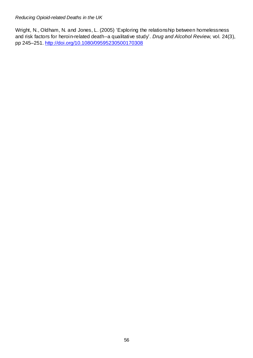Wright, N., Oldham, N. and Jones, L. (2005) 'Exploring the relationship between homelessness and risk factors for heroin-related death--a qualitative study'. Drug and Alcohol Review, vol. 24(3), pp 245–251.<http://doi.org/10.1080/09595230500170308>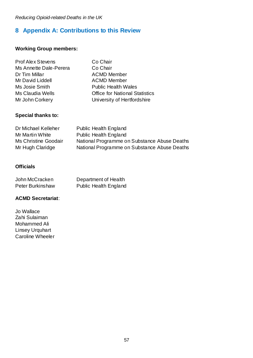## <span id="page-59-0"></span>**8 Appendix A: Contributions to this Review**

#### **Working Group members:**

| <b>Prof Alex Stevens</b> | Co Chair                              |
|--------------------------|---------------------------------------|
| Ms Annette Dale-Perera   | Co Chair                              |
| Dr Tim Millar            | <b>ACMD Member</b>                    |
| Mr David Liddell         | <b>ACMD Member</b>                    |
| Ms Josie Smith           | <b>Public Health Wales</b>            |
| Ms Claudia Wells         | <b>Office for National Statistics</b> |
| Mr John Corkery          | University of Hertfordshire           |

#### **Special thanks to:**

| Dr Michael Kelleher         | <b>Public Health England</b>                 |
|-----------------------------|----------------------------------------------|
| Mr Martin White             | <b>Public Health England</b>                 |
| <b>Ms Christine Goodair</b> | National Programme on Substance Abuse Deaths |
| Mr Hugh Claridge            | National Programme on Substance Abuse Deaths |

#### **Officials**

| John McCracken          | Department of Health         |
|-------------------------|------------------------------|
| <b>Peter Burkinshaw</b> | <b>Public Health England</b> |

#### **ACMD Secretariat**:

Jo Wallace Zahi Sulaiman Mohammed Ali Linsey Urquhart Caroline Wheeler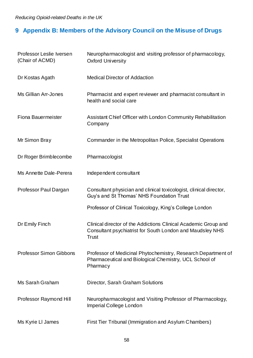# <span id="page-60-0"></span>**9 Appendix B: Members of the Advisory Council on the Misuse of Drugs**

| Professor Leslie Iversen<br>(Chair of ACMD) | Neuropharmacologist and visiting professor of pharmacology,<br><b>Oxford University</b>                                                      |
|---------------------------------------------|----------------------------------------------------------------------------------------------------------------------------------------------|
| Dr Kostas Agath                             | <b>Medical Director of Addaction</b>                                                                                                         |
| Ms Gillian Arr-Jones                        | Pharmacist and expert reviewer and pharmacist consultant in<br>health and social care                                                        |
| Fiona Bauermeister                          | Assistant Chief Officer with London Community Rehabilitation<br>Company                                                                      |
| Mr Simon Bray                               | Commander in the Metropolitan Police, Specialist Operations                                                                                  |
| Dr Roger Brimblecombe                       | Pharmacologist                                                                                                                               |
| Ms Annette Dale-Perera                      | Independent consultant                                                                                                                       |
| Professor Paul Dargan                       | Consultant physician and clinical toxicologist, clinical director,<br>Guy's and St Thomas' NHS Foundation Trust                              |
|                                             | Professor of Clinical Toxicology, King's College London                                                                                      |
| Dr Emily Finch                              | Clinical director of the Addictions Clinical Academic Group and<br>Consultant psychiatrist for South London and Maudsley NHS<br><b>Trust</b> |
| <b>Professor Simon Gibbons</b>              | Professor of Medicinal Phytochemistry, Research Department of<br>Pharmaceutical and Biological Chemistry, UCL School of<br>Pharmacy          |
| Ms Sarah Graham                             | Director, Sarah Graham Solutions                                                                                                             |
| Professor Raymond Hill                      | Neuropharmacologist and Visiting Professor of Pharmacology,<br>Imperial College London                                                       |
| Ms Kyrie LI James                           | First Tier Tribunal (Immigration and Asylum Chambers)                                                                                        |